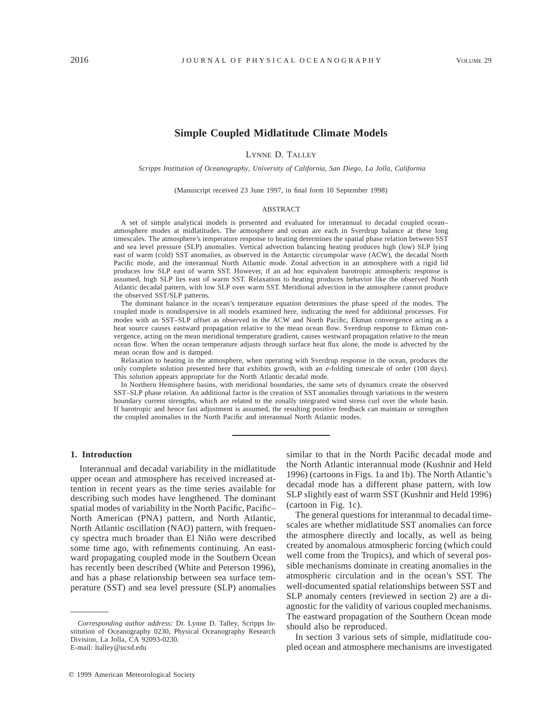# **Simple Coupled Midlatitude Climate Models**

LYNNE D. TALLEY

*Scripps Institution of Oceanography, University of California, San Diego, La Jolla, California*

(Manuscript received 23 June 1997, in final form 10 September 1998)

#### ABSTRACT

A set of simple analytical models is presented and evaluated for interannual to decadal coupled ocean– atmosphere modes at midlatitudes. The atmosphere and ocean are each in Sverdrup balance at these long timescales. The atmosphere's temperature response to heating determines the spatial phase relation between SST and sea level pressure (SLP) anomalies. Vertical advection balancing heating produces high (low) SLP lying east of warm (cold) SST anomalies, as observed in the Antarctic circumpolar wave (ACW), the decadal North Pacific mode, and the interannual North Atlantic mode. Zonal advection in an atmosphere with a rigid lid produces low SLP east of warm SST. However, if an ad hoc equivalent barotropic atmospheric response is assumed, high SLP lies east of warm SST. Relaxation to heating produces behavior like the observed North Atlantic decadal pattern, with low SLP over warm SST. Meridional advection in the atmosphere cannot produce the observed SST/SLP patterns.

The dominant balance in the ocean's temperature equation determines the phase speed of the modes. The coupled mode is nondispersive in all models examined here, indicating the need for additional processes. For modes with an SST–SLP offset as observed in the ACW and North Pacific, Ekman convergence acting as a heat source causes eastward propagation relative to the mean ocean flow. Sverdrup response to Ekman convergence, acting on the mean meridional temperature gradient, causes westward propagation relative to the mean ocean flow. When the ocean temperature adjusts through surface heat flux alone, the mode is advected by the mean ocean flow and is damped.

Relaxation to heating in the atmosphere, when operating with Sverdrup response in the ocean, produces the only complete solution presented here that exhibits growth, with an *e*-folding timescale of order (100 days). This solution appears appropriate for the North Atlantic decadal mode.

In Northern Hemisphere basins, with meridional boundaries, the same sets of dynamics create the observed SST–SLP phase relation. An additional factor is the creation of SST anomalies through variations in the western boundary current strengths, which are related to the zonally integrated wind stress curl over the whole basin. If barotropic and hence fast adjustment is assumed, the resulting positive feedback can maintain or strengthen the coupled anomalies in the North Pacific and interannual North Atlantic modes.

## **1. Introduction**

Interannual and decadal variability in the midlatitude upper ocean and atmosphere has received increased attention in recent years as the time series available for describing such modes have lengthened. The dominant spatial modes of variability in the North Pacific, Pacific– North American (PNA) pattern, and North Atlantic, North Atlantic oscillation (NAO) pattern, with frequency spectra much broader than El Niño were described some time ago, with refinements continuing. An eastward propagating coupled mode in the Southern Ocean has recently been described (White and Peterson 1996), and has a phase relationship between sea surface temperature (SST) and sea level pressure (SLP) anomalies similar to that in the North Pacific decadal mode and the North Atlantic interannual mode (Kushnir and Held 1996) (cartoons in Figs. 1a and 1b). The North Atlantic's decadal mode has a different phase pattern, with low SLP slightly east of warm SST (Kushnir and Held 1996) (cartoon in Fig. 1c).

The general questions for interannual to decadal timescales are whether midlatitude SST anomalies can force the atmosphere directly and locally, as well as being created by anomalous atmospheric forcing (which could well come from the Tropics), and which of several possible mechanisms dominate in creating anomalies in the atmospheric circulation and in the ocean's SST. The well-documented spatial relationships between SST and SLP anomaly centers (reviewed in section 2) are a diagnostic for the validity of various coupled mechanisms. The eastward propagation of the Southern Ocean mode should also be reproduced.

In section 3 various sets of simple, midlatitude coupled ocean and atmosphere mechanisms are investigated

*Corresponding author address:* Dr. Lynne D. Talley, Scripps Institution of Oceanography 0230, Physical Oceanography Research Division, La Jolla, CA 92093-0230. E-mail: ltalley@ucsd.edu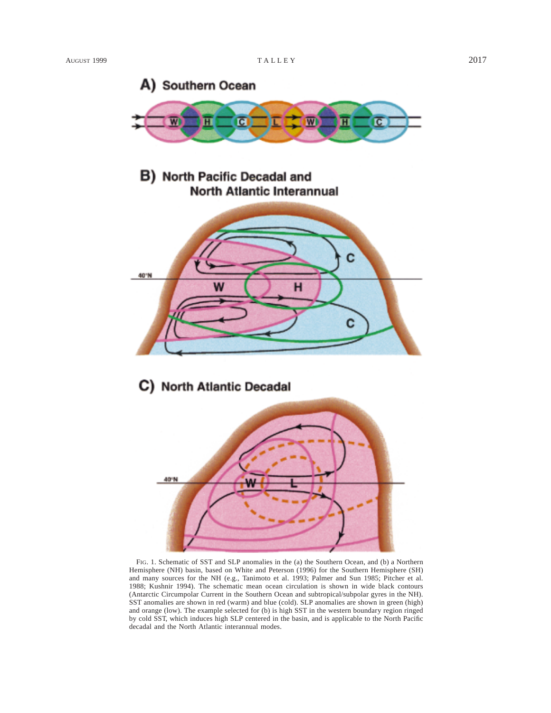

**B)** North Pacific Decadal and **North Atlantic Interannual** 



# C) North Atlantic Decadal



FIG. 1. Schematic of SST and SLP anomalies in the (a) the Southern Ocean, and (b) a Northern Hemisphere (NH) basin, based on White and Peterson (1996) for the Southern Hemisphere (SH) and many sources for the NH (e.g., Tanimoto et al. 1993; Palmer and Sun 1985; Pitcher et al. 1988; Kushnir 1994). The schematic mean ocean circulation is shown in wide black contours (Antarctic Circumpolar Current in the Southern Ocean and subtropical/subpolar gyres in the NH). SST anomalies are shown in red (warm) and blue (cold). SLP anomalies are shown in green (high) and orange (low). The example selected for (b) is high SST in the western boundary region ringed by cold SST, which induces high SLP centered in the basin, and is applicable to the North Pacific decadal and the North Atlantic interannual modes.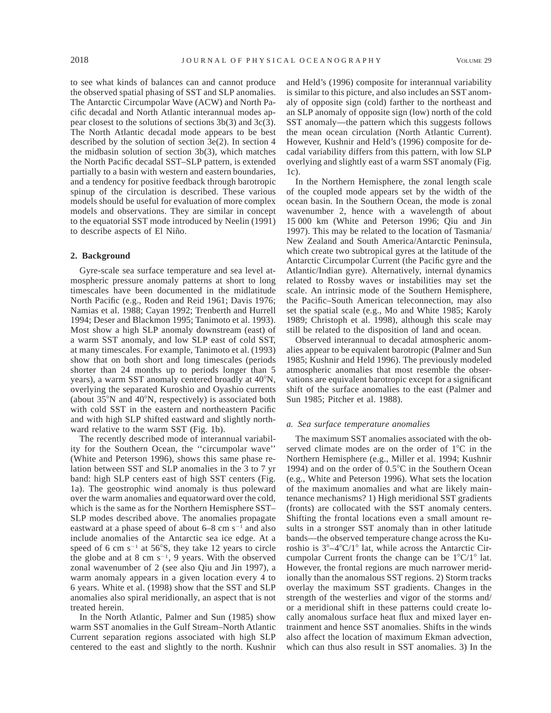to see what kinds of balances can and cannot produce the observed spatial phasing of SST and SLP anomalies. The Antarctic Circumpolar Wave (ACW) and North Pacific decadal and North Atlantic interannual modes appear closest to the solutions of sections 3b(3) and 3c(3). The North Atlantic decadal mode appears to be best described by the solution of section 3e(2). In section 4 the midbasin solution of section 3b(3), which matches the North Pacific decadal SST–SLP pattern, is extended partially to a basin with western and eastern boundaries, and a tendency for positive feedback through barotropic spinup of the circulation is described. These various models should be useful for evaluation of more complex models and observations. They are similar in concept to the equatorial SST mode introduced by Neelin (1991) to describe aspects of El Niño.

#### **2. Background**

Gyre-scale sea surface temperature and sea level atmospheric pressure anomaly patterns at short to long timescales have been documented in the midlatitude North Pacific (e.g., Roden and Reid 1961; Davis 1976; Namias et al. 1988; Cayan 1992; Trenberth and Hurrell 1994; Deser and Blackmon 1995; Tanimoto et al. 1993). Most show a high SLP anomaly downstream (east) of a warm SST anomaly, and low SLP east of cold SST, at many timescales. For example, Tanimoto et al. (1993) show that on both short and long timescales (periods shorter than 24 months up to periods longer than 5 years), a warm SST anomaly centered broadly at  $40^{\circ}$ N, overlying the separated Kuroshio and Oyashio currents (about  $35^{\circ}$ N and  $40^{\circ}$ N, respectively) is associated both with cold SST in the eastern and northeastern Pacific and with high SLP shifted eastward and slightly northward relative to the warm SST (Fig. 1b).

The recently described mode of interannual variability for the Southern Ocean, the ''circumpolar wave'' (White and Peterson 1996), shows this same phase relation between SST and SLP anomalies in the 3 to 7 yr band: high SLP centers east of high SST centers (Fig. 1a). The geostrophic wind anomaly is thus poleward over the warm anomalies and equatorward over the cold, which is the same as for the Northern Hemisphere SST– SLP modes described above. The anomalies propagate eastward at a phase speed of about  $6-8$  cm  $s^{-1}$  and also include anomalies of the Antarctic sea ice edge. At a speed of 6 cm  $s^{-1}$  at 56°S, they take 12 years to circle the globe and at 8 cm  $s^{-1}$ , 9 years. With the observed zonal wavenumber of 2 (see also Qiu and Jin 1997), a warm anomaly appears in a given location every 4 to 6 years. White et al. (1998) show that the SST and SLP anomalies also spiral meridionally, an aspect that is not treated herein.

In the North Atlantic, Palmer and Sun (1985) show warm SST anomalies in the Gulf Stream–North Atlantic Current separation regions associated with high SLP centered to the east and slightly to the north. Kushnir and Held's (1996) composite for interannual variability is similar to this picture, and also includes an SST anomaly of opposite sign (cold) farther to the northeast and an SLP anomaly of opposite sign (low) north of the cold SST anomaly—the pattern which this suggests follows the mean ocean circulation (North Atlantic Current). However, Kushnir and Held's (1996) composite for decadal variability differs from this pattern, with low SLP overlying and slightly east of a warm SST anomaly (Fig. 1c).

In the Northern Hemisphere, the zonal length scale of the coupled mode appears set by the width of the ocean basin. In the Southern Ocean, the mode is zonal wavenumber 2, hence with a wavelength of about 15 000 km (White and Peterson 1996; Qiu and Jin 1997). This may be related to the location of Tasmania/ New Zealand and South America/Antarctic Peninsula, which create two subtropical gyres at the latitude of the Antarctic Circumpolar Current (the Pacific gyre and the Atlantic/Indian gyre). Alternatively, internal dynamics related to Rossby waves or instabilities may set the scale. An intrinsic mode of the Southern Hemisphere, the Pacific–South American teleconnection, may also set the spatial scale (e.g., Mo and White 1985; Karoly 1989; Christoph et al. 1998), although this scale may still be related to the disposition of land and ocean.

Observed interannual to decadal atmospheric anomalies appear to be equivalent barotropic (Palmer and Sun 1985; Kushnir and Held 1996). The previously modeled atmospheric anomalies that most resemble the observations are equivalent barotropic except for a significant shift of the surface anomalies to the east (Palmer and Sun 1985; Pitcher et al. 1988).

## *a. Sea surface temperature anomalies*

The maximum SST anomalies associated with the observed climate modes are on the order of  $1^{\circ}$ C in the Northern Hemisphere (e.g., Miller et al. 1994; Kushnir 1994) and on the order of  $0.5^{\circ}$ C in the Southern Ocean (e.g., White and Peterson 1996). What sets the location of the maximum anomalies and what are likely maintenance mechanisms? 1) High meridional SST gradients (fronts) are collocated with the SST anomaly centers. Shifting the frontal locations even a small amount results in a stronger SST anomaly than in other latitude bands—the observed temperature change across the Kuroshio is  $3^{\circ}-4^{\circ}C/1^{\circ}$  lat, while across the Antarctic Circumpolar Current fronts the change can be  $1^{\circ}C/1^{\circ}$  lat. However, the frontal regions are much narrower meridionally than the anomalous SST regions. 2) Storm tracks overlay the maximum SST gradients. Changes in the strength of the westerlies and vigor of the storms and/ or a meridional shift in these patterns could create locally anomalous surface heat flux and mixed layer entrainment and hence SST anomalies. Shifts in the winds also affect the location of maximum Ekman advection, which can thus also result in SST anomalies. 3) In the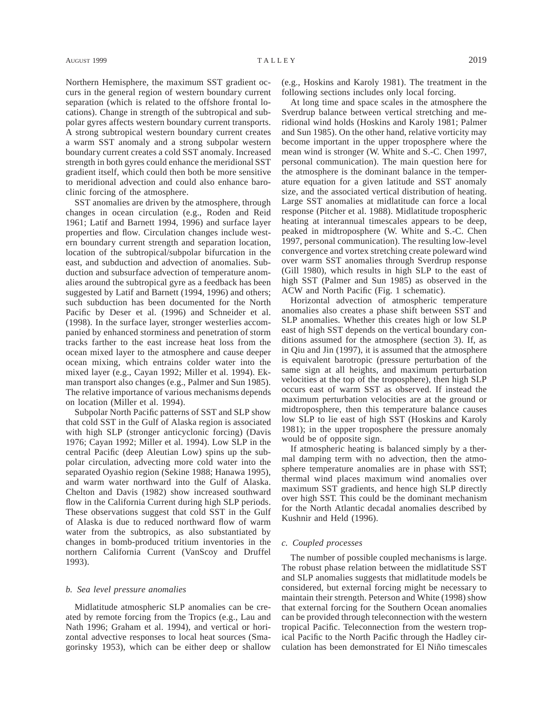Northern Hemisphere, the maximum SST gradient occurs in the general region of western boundary current separation (which is related to the offshore frontal locations). Change in strength of the subtropical and subpolar gyres affects western boundary current transports. A strong subtropical western boundary current creates a warm SST anomaly and a strong subpolar western boundary current creates a cold SST anomaly. Increased strength in both gyres could enhance the meridional SST gradient itself, which could then both be more sensitive to meridional advection and could also enhance baroclinic forcing of the atmosphere.

SST anomalies are driven by the atmosphere, through changes in ocean circulation (e.g., Roden and Reid 1961; Latif and Barnett 1994, 1996) and surface layer properties and flow. Circulation changes include western boundary current strength and separation location, location of the subtropical/subpolar bifurcation in the east, and subduction and advection of anomalies. Subduction and subsurface advection of temperature anomalies around the subtropical gyre as a feedback has been suggested by Latif and Barnett (1994, 1996) and others; such subduction has been documented for the North Pacific by Deser et al. (1996) and Schneider et al. (1998). In the surface layer, stronger westerlies accompanied by enhanced storminess and penetration of storm tracks farther to the east increase heat loss from the ocean mixed layer to the atmosphere and cause deeper ocean mixing, which entrains colder water into the mixed layer (e.g., Cayan 1992; Miller et al. 1994). Ekman transport also changes (e.g., Palmer and Sun 1985). The relative importance of various mechanisms depends on location (Miller et al. 1994).

Subpolar North Pacific patterns of SST and SLP show that cold SST in the Gulf of Alaska region is associated with high SLP (stronger anticyclonic forcing) (Davis 1976; Cayan 1992; Miller et al. 1994). Low SLP in the central Pacific (deep Aleutian Low) spins up the subpolar circulation, advecting more cold water into the separated Oyashio region (Sekine 1988; Hanawa 1995), and warm water northward into the Gulf of Alaska. Chelton and Davis (1982) show increased southward flow in the California Current during high SLP periods. These observations suggest that cold SST in the Gulf of Alaska is due to reduced northward flow of warm water from the subtropics, as also substantiated by changes in bomb-produced tritium inventories in the northern California Current (VanScoy and Druffel 1993).

## *b. Sea level pressure anomalies*

Midlatitude atmospheric SLP anomalies can be created by remote forcing from the Tropics (e.g., Lau and Nath 1996; Graham et al. 1994), and vertical or horizontal advective responses to local heat sources (Smagorinsky 1953), which can be either deep or shallow

(e.g., Hoskins and Karoly 1981). The treatment in the following sections includes only local forcing.

At long time and space scales in the atmosphere the Sverdrup balance between vertical stretching and meridional wind holds (Hoskins and Karoly 1981; Palmer and Sun 1985). On the other hand, relative vorticity may become important in the upper troposphere where the mean wind is stronger (W. White and S.-C. Chen 1997, personal communication). The main question here for the atmosphere is the dominant balance in the temperature equation for a given latitude and SST anomaly size, and the associated vertical distribution of heating. Large SST anomalies at midlatitude can force a local response (Pitcher et al. 1988). Midlatitude tropospheric heating at interannual timescales appears to be deep, peaked in midtroposphere (W. White and S.-C. Chen 1997, personal communication). The resulting low-level convergence and vortex stretching create poleward wind over warm SST anomalies through Sverdrup response (Gill 1980), which results in high SLP to the east of high SST (Palmer and Sun 1985) as observed in the ACW and North Pacific (Fig. 1 schematic).

Horizontal advection of atmospheric temperature anomalies also creates a phase shift between SST and SLP anomalies. Whether this creates high or low SLP east of high SST depends on the vertical boundary conditions assumed for the atmosphere (section 3). If, as in Qiu and Jin (1997), it is assumed that the atmosphere is equivalent barotropic (pressure perturbation of the same sign at all heights, and maximum perturbation velocities at the top of the troposphere), then high SLP occurs east of warm SST as observed. If instead the maximum perturbation velocities are at the ground or midtroposphere, then this temperature balance causes low SLP to lie east of high SST (Hoskins and Karoly 1981); in the upper troposphere the pressure anomaly would be of opposite sign.

If atmospheric heating is balanced simply by a thermal damping term with no advection, then the atmosphere temperature anomalies are in phase with SST; thermal wind places maximum wind anomalies over maximum SST gradients, and hence high SLP directly over high SST. This could be the dominant mechanism for the North Atlantic decadal anomalies described by Kushnir and Held (1996).

#### *c. Coupled processes*

The number of possible coupled mechanisms is large. The robust phase relation between the midlatitude SST and SLP anomalies suggests that midlatitude models be considered, but external forcing might be necessary to maintain their strength. Peterson and White (1998) show that external forcing for the Southern Ocean anomalies can be provided through teleconnection with the western tropical Pacific. Teleconnection from the western tropical Pacific to the North Pacific through the Hadley circulation has been demonstrated for El Niño timescales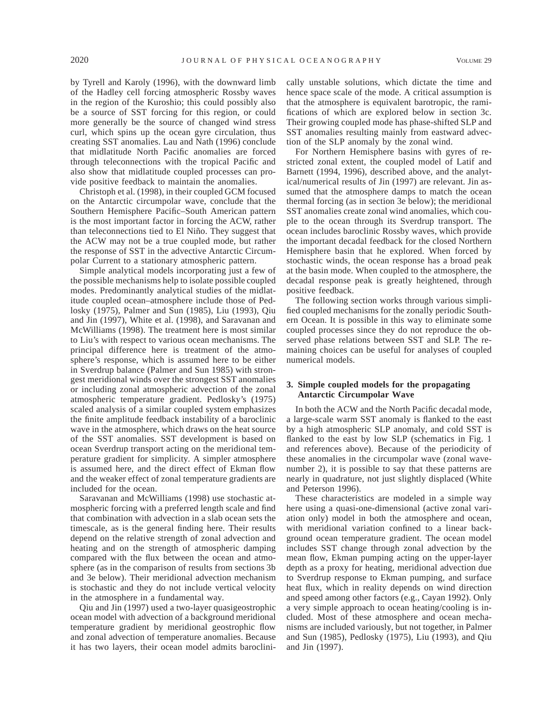by Tyrell and Karoly (1996), with the downward limb of the Hadley cell forcing atmospheric Rossby waves in the region of the Kuroshio; this could possibly also be a source of SST forcing for this region, or could more generally be the source of changed wind stress curl, which spins up the ocean gyre circulation, thus creating SST anomalies. Lau and Nath (1996) conclude that midlatitude North Pacific anomalies are forced through teleconnections with the tropical Pacific and also show that midlatitude coupled processes can provide positive feedback to maintain the anomalies.

Christoph et al. (1998), in their coupled GCM focused on the Antarctic circumpolar wave, conclude that the Southern Hemisphere Pacific–South American pattern is the most important factor in forcing the ACW, rather than teleconnections tied to El Niño. They suggest that the ACW may not be a true coupled mode, but rather the response of SST in the advective Antarctic Circumpolar Current to a stationary atmospheric pattern.

Simple analytical models incorporating just a few of the possible mechanisms help to isolate possible coupled modes. Predominantly analytical studies of the midlatitude coupled ocean–atmosphere include those of Pedlosky (1975), Palmer and Sun (1985), Liu (1993), Qiu and Jin (1997), White et al. (1998), and Saravanan and McWilliams (1998). The treatment here is most similar to Liu's with respect to various ocean mechanisms. The principal difference here is treatment of the atmosphere's response, which is assumed here to be either in Sverdrup balance (Palmer and Sun 1985) with strongest meridional winds over the strongest SST anomalies or including zonal atmospheric advection of the zonal atmospheric temperature gradient. Pedlosky's (1975) scaled analysis of a similar coupled system emphasizes the finite amplitude feedback instability of a baroclinic wave in the atmosphere, which draws on the heat source of the SST anomalies. SST development is based on ocean Sverdrup transport acting on the meridional temperature gradient for simplicity. A simpler atmosphere is assumed here, and the direct effect of Ekman flow and the weaker effect of zonal temperature gradients are included for the ocean.

Saravanan and McWilliams (1998) use stochastic atmospheric forcing with a preferred length scale and find that combination with advection in a slab ocean sets the timescale, as is the general finding here. Their results depend on the relative strength of zonal advection and heating and on the strength of atmospheric damping compared with the flux between the ocean and atmosphere (as in the comparison of results from sections 3b and 3e below). Their meridional advection mechanism is stochastic and they do not include vertical velocity in the atmosphere in a fundamental way.

Qiu and Jin (1997) used a two-layer quasigeostrophic ocean model with advection of a background meridional temperature gradient by meridional geostrophic flow and zonal advection of temperature anomalies. Because it has two layers, their ocean model admits baroclinically unstable solutions, which dictate the time and hence space scale of the mode. A critical assumption is that the atmosphere is equivalent barotropic, the ramifications of which are explored below in section 3c. Their growing coupled mode has phase-shifted SLP and SST anomalies resulting mainly from eastward advection of the SLP anomaly by the zonal wind.

For Northern Hemisphere basins with gyres of restricted zonal extent, the coupled model of Latif and Barnett (1994, 1996), described above, and the analytical/numerical results of Jin (1997) are relevant. Jin assumed that the atmosphere damps to match the ocean thermal forcing (as in section 3e below); the meridional SST anomalies create zonal wind anomalies, which couple to the ocean through its Sverdrup transport. The ocean includes baroclinic Rossby waves, which provide the important decadal feedback for the closed Northern Hemisphere basin that he explored. When forced by stochastic winds, the ocean response has a broad peak at the basin mode. When coupled to the atmosphere, the decadal response peak is greatly heightened, through positive feedback.

The following section works through various simplified coupled mechanisms for the zonally periodic Southern Ocean. It is possible in this way to eliminate some coupled processes since they do not reproduce the observed phase relations between SST and SLP. The remaining choices can be useful for analyses of coupled numerical models.

# **3. Simple coupled models for the propagating Antarctic Circumpolar Wave**

In both the ACW and the North Pacific decadal mode, a large-scale warm SST anomaly is flanked to the east by a high atmospheric SLP anomaly, and cold SST is flanked to the east by low SLP (schematics in Fig. 1 and references above). Because of the periodicity of these anomalies in the circumpolar wave (zonal wavenumber 2), it is possible to say that these patterns are nearly in quadrature, not just slightly displaced (White and Peterson 1996).

These characteristics are modeled in a simple way here using a quasi-one-dimensional (active zonal variation only) model in both the atmosphere and ocean, with meridional variation confined to a linear background ocean temperature gradient. The ocean model includes SST change through zonal advection by the mean flow, Ekman pumping acting on the upper-layer depth as a proxy for heating, meridional advection due to Sverdrup response to Ekman pumping, and surface heat flux, which in reality depends on wind direction and speed among other factors (e.g., Cayan 1992). Only a very simple approach to ocean heating/cooling is included. Most of these atmosphere and ocean mechanisms are included variously, but not together, in Palmer and Sun (1985), Pedlosky (1975), Liu (1993), and Qiu and Jin (1997).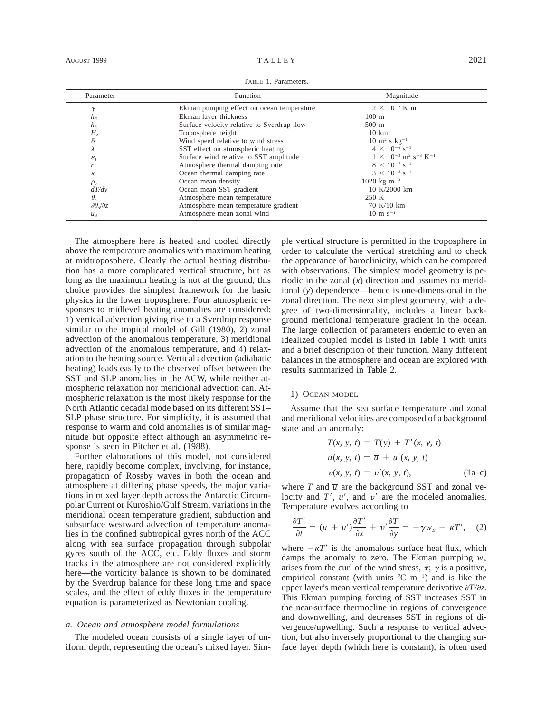TABLE 1. Parameters.

| Parameter                        | Function                                   | Magnitude                                                         |
|----------------------------------|--------------------------------------------|-------------------------------------------------------------------|
| $\mathcal V$                     | Ekman pumping effect on ocean temperature  | $2 \times 10^{-2}$ K m <sup>-1</sup>                              |
| $h_E$                            | Ekman layer thickness                      | $100 \text{ m}$                                                   |
| $h_{S}$                          | Surface velocity relative to Sverdrup flow | $500 \text{ m}$                                                   |
| $H_A$                            | Troposphere height                         | $10 \text{ km}$                                                   |
| δ                                | Wind speed relative to wind stress         | $10 \text{ m}^2 \text{ s kg}^{-1}$                                |
| л                                | SST effect on atmospheric heating          | $4 \times 10^{-6}$ s <sup>-1</sup>                                |
| $\varepsilon$ <sub>1</sub>       | Surface wind relative to SST amplitude     | $1 \times 10^{-3}$ m <sup>2</sup> s <sup>-3</sup> K <sup>-1</sup> |
| r                                | Atmosphere thermal damping rate            | $8 \times 10^{-7}$ s <sup>-1</sup>                                |
| к                                | Ocean thermal damping rate                 | $3 \times 10^{-8}$ s <sup>-1</sup>                                |
|                                  | Ocean mean density                         | 1020 kg m <sup><math>-3</math></sup>                              |
| $\frac{\rho_o}{dT/dy}$           | Ocean mean SST gradient                    | 10 K/2000 km                                                      |
| $\theta_{o}$                     | Atmosphere mean temperature                | 250 K                                                             |
| $\partial \theta_{o}/\partial z$ | Atmosphere mean temperature gradient       | 70 K/10 km                                                        |
| $\overline{\mathcal{U}}_A$       | Atmosphere mean zonal wind                 | $10 \text{ m s}^{-1}$                                             |

The atmosphere here is heated and cooled directly above the temperature anomalies with maximum heating at midtroposphere. Clearly the actual heating distribution has a more complicated vertical structure, but as long as the maximum heating is not at the ground, this choice provides the simplest framework for the basic physics in the lower troposphere. Four atmospheric responses to midlevel heating anomalies are considered: 1) vertical advection giving rise to a Sverdrup response similar to the tropical model of Gill (1980), 2) zonal advection of the anomalous temperature, 3) meridional advection of the anomalous temperature, and 4) relaxation to the heating source. Vertical advection (adiabatic heating) leads easily to the observed offset between the SST and SLP anomalies in the ACW, while neither atmospheric relaxation nor meridional advection can. Atmospheric relaxation is the most likely response for the North Atlantic decadal mode based on its different SST– SLP phase structure. For simplicity, it is assumed that response to warm and cold anomalies is of similar magnitude but opposite effect although an asymmetric response is seen in Pitcher et al. (1988).

Further elaborations of this model, not considered here, rapidly become complex, involving, for instance, propagation of Rossby waves in both the ocean and atmosphere at differing phase speeds, the major variations in mixed layer depth across the Antarctic Circumpolar Current or Kuroshio/Gulf Stream, variations in the meridional ocean temperature gradient, subduction and subsurface westward advection of temperature anomalies in the confined subtropical gyres north of the ACC along with sea surface propagation through subpolar gyres south of the ACC, etc. Eddy fluxes and storm tracks in the atmosphere are not considered explicitly here—the vorticity balance is shown to be dominated by the Sverdrup balance for these long time and space scales, and the effect of eddy fluxes in the temperature equation is parameterized as Newtonian cooling.

#### *a. Ocean and atmosphere model formulations*

The modeled ocean consists of a single layer of uniform depth, representing the ocean's mixed layer. Simple vertical structure is permitted in the troposphere in order to calculate the vertical stretching and to check the appearance of baroclinicity, which can be compared with observations. The simplest model geometry is periodic in the zonal (*x*) direction and assumes no meridional (*y*) dependence—hence is one-dimensional in the zonal direction. The next simplest geometry, with a degree of two-dimensionality, includes a linear background meridional temperature gradient in the ocean. The large collection of parameters endemic to even an idealized coupled model is listed in Table 1 with units and a brief description of their function. Many different balances in the atmosphere and ocean are explored with results summarized in Table 2.

#### 1) OCEAN MODEL

Assume that the sea surface temperature and zonal and meridional velocities are composed of a background state and an anomaly:

$$
T(x, y, t) = T(y) + T'(x, y, t)
$$
  
 
$$
u(x, y, t) = \overline{u} + u'(x, y, t)
$$
  
 
$$
v(x, y, t) = v'(x, y, t),
$$
 (1a-c)

where  $\overline{T}$  and  $\overline{u}$  are the background SST and zonal velocity and  $T'$ ,  $u'$ , and  $v'$  are the modeled anomalies. Temperature evolves according to

$$
\frac{\partial T'}{\partial t} = (\overline{u} + u')\frac{\partial T'}{\partial x} + v'\frac{\partial T}{\partial y} = -\gamma w_E - \kappa T', \quad (2)
$$

where  $-\kappa T'$  is the anomalous surface heat flux, which damps the anomaly to zero. The Ekman pumping  $W_F$ arises from the curl of the wind stress,  $\tau$ ;  $\gamma$  is a positive, empirical constant (with units  ${}^{\circ}C$  m<sup>-1</sup>) and is like the upper layer's mean vertical temperature derivative  $\partial T/\partial z$ . This Ekman pumping forcing of SST increases SST in the near-surface thermocline in regions of convergence and downwelling, and decreases SST in regions of divergence/upwelling. Such a response to vertical advection, but also inversely proportional to the changing surface layer depth (which here is constant), is often used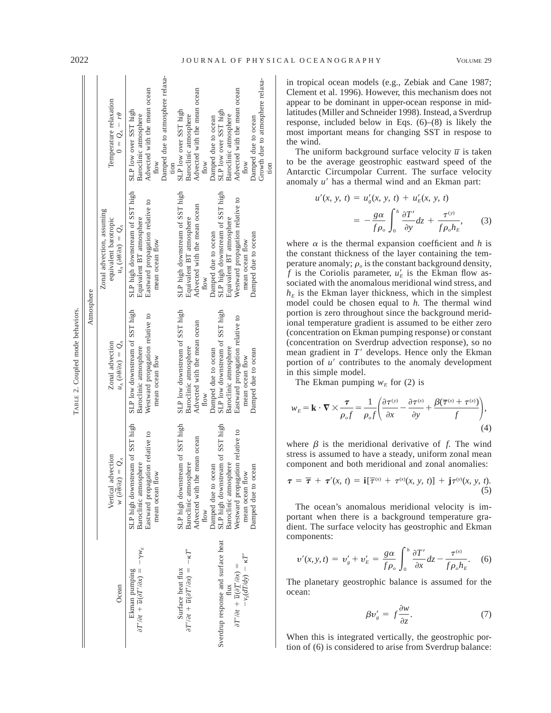|                                                                                                                                               |                                                                                                                                                               | Atmosphere                                                                                                                                                   |                                                                                                                                                                  |                                                                                                                                                                          |
|-----------------------------------------------------------------------------------------------------------------------------------------------|---------------------------------------------------------------------------------------------------------------------------------------------------------------|--------------------------------------------------------------------------------------------------------------------------------------------------------------|------------------------------------------------------------------------------------------------------------------------------------------------------------------|--------------------------------------------------------------------------------------------------------------------------------------------------------------------------|
| Ocean                                                                                                                                         | Vertical advection<br>$\mathcal{Q}$<br>$w(\partial \theta/\partial z) =$                                                                                      | Zonal advection<br>$u_{A}(\partial\theta\partial x)=Q_{A}$                                                                                                   | Zonal advection, assuming<br>equivalent barotropic<br>$u_A(\partial \theta \partial x) = Q_A$                                                                    | Temperature relaxation<br>$0 = Q_A - r\theta$                                                                                                                            |
| $\partial T' \partial t + \overline{u} (\partial T' \partial x) = -\gamma w_E$<br>Ekman pumping                                               | SLP high downstream of SST high<br>Eastward propagation relative to<br>Baroclinic atmosphere<br>mean ocean flow                                               | SLP low downstream of SST high<br>Westward propagation relative to<br>Baroclinic atmosphere<br>mean ocean flow                                               | SLP high downstream of SST high<br>Eastward propagation relative to<br>Equivalent BT atmosphere<br>mean ocean flow                                               | Damped due to atmosphere relaxa-<br>Advected with the mean ocean<br>SLP low over SST high<br>Baroclinic atmosphere<br>flow                                               |
| $\partial T'/\partial t + \overline{u}(\partial T'/\partial x) = -\kappa T'$<br>Surface heat flux                                             | SLP high downstream of SST high<br>Advected with the mean ocean<br>Baroclinic atmosphere<br><b>How</b>                                                        | SLP low downstream of SST high<br>Advected with the mean ocean<br>Baroclinic atmosphere<br>flow                                                              | SLP high downstream of SST high<br>Advected with the mean ocean<br>Equivalent BT atmosphere<br><b>How</b>                                                        | Advected with the mean ocean<br>SLP low over SST high<br>Baroclinic atmosphere<br>$_{\text{flow}}$<br>tion                                                               |
| Sverdrup response and surface heat<br>$-v_s(\tilde{dT/dy}) - \kappa T'$<br>$\partial T' \partial t + \overline{u} (\partial T' \partial x) =$ | SLP high downstream of SST high<br>Westward propagation relative to<br>Baroclinic atmosphere<br>Damped due to ocean<br>Damped due to ocean<br>mean ocean flow | SLP low downstream of SST high<br>Eastward propagation relative to<br>Baroclinic atmosphere<br>Damped due to ocean<br>Damped due to ocean<br>mean ocean flow | SLP high downstream of SST high<br>Westward propagation relative to<br>Equivalent BT atmosphere<br>Damped due to ocean<br>Damped due to ocean<br>mean ocean flow | Growth due to atmosphere relaxa-<br>Advected with the mean ocean<br>SLP low over SST high<br>Baroclinic atmosphere<br>Damped due to ocean<br>Damped due to ocean<br>flow |

in tropical ocean models (e.g., Zebiak and Cane 1987; Clement et al. 1996). However, this mechanism does not appear to be dominant in upper-ocean response in midlatitudes (Miller and Schneider 1998). Instead, a Sverdrup response, included below in Eqs. (6)–(8) is likely the most important means for changing SST in respose to the wind.

The uniform background surface velocity  $\overline{u}$  is taken to be the average geostrophic eastward speed of the Antarctic Circumpolar Current. The surface velocity anomaly *u'* has a thermal wind and an Ekman part:

$$
u'(x, y, t) = u'_g(x, y, t) + u'_E(x, y, t)
$$

$$
= -\frac{g\alpha}{f\rho_o} \int_0^h \frac{\partial T'}{\partial y} dz + \frac{\tau^{(y)}}{f\rho_o h_E}, \qquad (3)
$$

where  $\alpha$  is the thermal expansion coefficient and *h* is the constant thickness of the layer containing the temperature anomaly;  $\rho_o$  is the constant background density, *f* is the Coriolis parameter,  $u'_E$  is the Ekman flow associated with the anomalous meridional wind stress, and  $h<sub>E</sub>$  is the Ekman layer thickness, which in the simplest model could be chosen equal to *h.* The thermal wind portion is zero throughout since the background meridional temperature gradient is assumed to be either zero (concentration on Ekman pumping response) or constant (concentration on Sverdrup advection response), so no mean gradient in  $T'$  develops. Hence only the Ekman portion of  $u'$  contributes to the anomaly development in this simple model.

The Ekman pumping  $w_F$  for (2) is

$$
w_E = \mathbf{k} \cdot \nabla \times \frac{\tau}{\rho_o f} = \frac{1}{\rho_o f} \left( \frac{\partial \tau^{(y)}}{\partial x} - \frac{\partial \tau^{(x)}}{\partial y} + \frac{\beta(\overline{\tau}^{(x)} + \tau^{(x)})}{f} \right),\tag{4}
$$

where  $\beta$  is the meridional derivative of *f*. The wind stress is assumed to have a steady, uniform zonal mean component and both meridional and zonal anomalies:

$$
\boldsymbol{\tau} = \boldsymbol{\overline{\tau}} + \boldsymbol{\tau}'(x, t) = \mathbf{i}[\boldsymbol{\overline{\tau}}^{(x)} + \boldsymbol{\tau}^{(x)}(x, y, t)] + \mathbf{j}\boldsymbol{\tau}^{(y)}(x, y, t). \tag{5}
$$

The ocean's anomalous meridional velocity is important when there is a background temperature gradient. The surface velocity has geostrophic and Ekman components:

$$
v'(x, y, t) = v'_g + v'_E = \frac{g\alpha}{f\rho_o} \int_0^h \frac{\partial T'}{\partial x} dz - \frac{\tau^{(x)}}{f\rho_o h_E}.
$$
 (6)

The planetary geostrophic balance is assumed for the ocean:

$$
\beta v'_{s} = f \frac{\partial w}{\partial z}.
$$
 (7)

When this is integrated vertically, the geostrophic portion of (6) is considered to arise from Sverdrup balance:

tion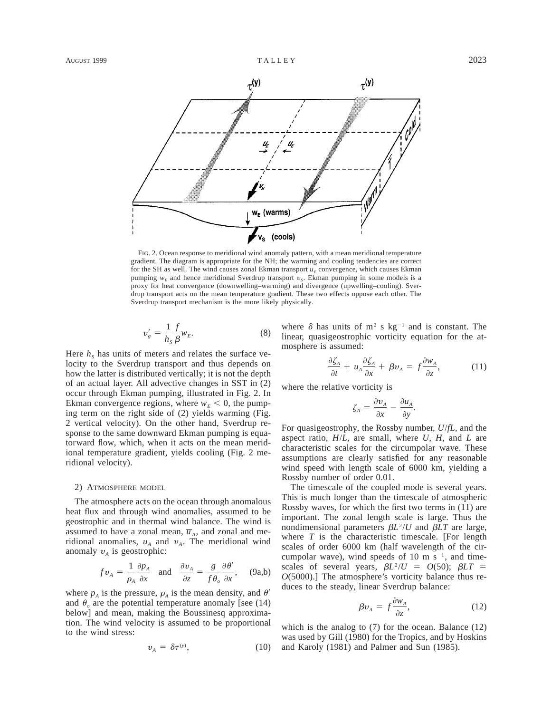

FIG. 2. Ocean response to meridional wind anomaly pattern, with a mean meridional temperature gradient. The diagram is appropriate for the NH; the warming and cooling tendencies are correct for the SH as well. The wind causes zonal Ekman transport  $u_E$  convergence, which causes Ekman pumping  $w<sub>E</sub>$  and hence meridional Sverdrup transport  $v<sub>S</sub>$ . Ekman pumping in some models is a proxy for heat convergence (downwelling–warming) and divergence (upwelling–cooling). Sverdrup transport acts on the mean temperature gradient. These two effects oppose each other. The Sverdrup transport mechanism is the more likely physically.

$$
v'_{s} = \frac{1}{h_{s}} \frac{f}{\beta} w_{E}.
$$
 (8)

Here  $h<sub>s</sub>$  has units of meters and relates the surface velocity to the Sverdrup transport and thus depends on how the latter is distributed vertically; it is not the depth of an actual layer. All advective changes in SST in (2) occur through Ekman pumping, illustrated in Fig. 2. In Ekman convergence regions, where  $w_E < 0$ , the pumping term on the right side of (2) yields warming (Fig. 2 vertical velocity). On the other hand, Sverdrup response to the same downward Ekman pumping is equatorward flow, which, when it acts on the mean meridional temperature gradient, yields cooling (Fig. 2 meridional velocity).

# 2) ATMOSPHERE MODEL

The atmosphere acts on the ocean through anomalous heat flux and through wind anomalies, assumed to be geostrophic and in thermal wind balance. The wind is assumed to have a zonal mean,  $\overline{u}_A$ , and zonal and meridional anomalies,  $u_A$  and  $v_A$ . The meridional wind anomaly  $v_A$  is geostrophic:

$$
fv_A = \frac{1}{\rho_A} \frac{\partial p_A}{\partial x} \quad \text{and} \quad \frac{\partial v_A}{\partial z} = \frac{g}{f \theta_o} \frac{\partial \theta'}{\partial x}, \quad (9a,b)
$$

where  $p_A$  is the pressure,  $\rho_A$  is the mean density, and  $\theta'$ and  $\theta$ <sub>o</sub> are the potential temperature anomaly [see (14) below] and mean, making the Boussinesq approximation. The wind velocity is assumed to be proportional to the wind stress:

$$
v_{A} = \delta \tau^{(y)}, \tag{10}
$$

where  $\delta$  has units of m<sup>2</sup> s kg<sup>-1</sup> and is constant. The linear, quasigeostrophic vorticity equation for the atmosphere is assumed:

$$
\frac{\partial \zeta_A}{\partial t} + u_A \frac{\partial \zeta_A}{\partial x} + \beta v_A = f \frac{\partial w_A}{\partial z}, \tag{11}
$$

where the relative vorticity is

$$
\zeta_A = \frac{\partial v_A}{\partial x} - \frac{\partial u_A}{\partial y}.
$$

For quasigeostrophy, the Rossby number, *U*/*fL,* and the aspect ratio, *H*/*L,* are small, where *U, H,* and *L* are characteristic scales for the circumpolar wave. These assumptions are clearly satisfied for any reasonable wind speed with length scale of 6000 km, yielding a Rossby number of order 0.01.

The timescale of the coupled mode is several years. This is much longer than the timescale of atmospheric Rossby waves, for which the first two terms in (11) are important. The zonal length scale is large. Thus the nondimensional parameters  $\beta L^2/U$  and  $\beta LT$  are large, where *T* is the characteristic timescale. [For length scales of order 6000 km (half wavelength of the circumpolar wave), wind speeds of 10 m  $s^{-1}$ , and timescales of several years,  $\beta L^2/U = O(50)$ ;  $\beta LT =$ *O*(5000).] The atmosphere's vorticity balance thus reduces to the steady, linear Sverdrup balance:

$$
\beta v_A = f \frac{\partial w_A}{\partial z},\tag{12}
$$

which is the analog to (7) for the ocean. Balance (12) was used by Gill (1980) for the Tropics, and by Hoskins and Karoly (1981) and Palmer and Sun (1985).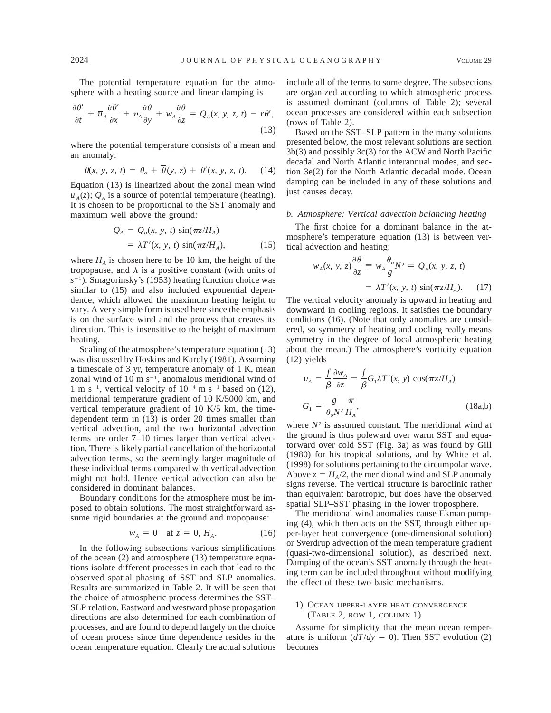The potential temperature equation for the atmosphere with a heating source and linear damping is

$$
\frac{\partial \theta'}{\partial t} + \overline{u}_A \frac{\partial \theta'}{\partial x} + v_A \frac{\partial \overline{\theta}}{\partial y} + w_A \frac{\partial \overline{\theta}}{\partial z} = Q_A(x, y, z, t) - r\theta',
$$
\n(13)

where the potential temperature consists of a mean and an anomaly:

$$
\theta(x, y, z, t) = \theta_o + \overline{\theta}(y, z) + \theta'(x, y, z, t). \tag{14}
$$

Equation (13) is linearized about the zonal mean wind  $\overline{u}_A(z)$ ;  $Q_A$  is a source of potential temperature (heating). It is chosen to be proportional to the SST anomaly and maximum well above the ground:

$$
Q_A = Q_o(x, y, t) \sin(\pi z / H_A)
$$
  
=  $\lambda T'(x, y, t) \sin(\pi z / H_A),$  (15)

where  $H_A$  is chosen here to be 10 km, the height of the tropopause, and  $\lambda$  is a positive constant (with units of  $s^{-1}$ ). Smagorinsky's (1953) heating function choice was similar to (15) and also included exponential dependence, which allowed the maximum heating height to vary. A very simple form is used here since the emphasis is on the surface wind and the process that creates its direction. This is insensitive to the height of maximum heating.

Scaling of the atmosphere's temperature equation (13) was discussed by Hoskins and Karoly (1981). Assuming a timescale of 3 yr, temperature anomaly of 1 K, mean zonal wind of 10 m  $s^{-1}$ , anomalous meridional wind of 1 m s<sup>-1</sup>, vertical velocity of  $10^{-4}$  m s<sup>-1</sup> based on (12), meridional temperature gradient of 10 K/5000 km, and vertical temperature gradient of 10 K/5 km, the timedependent term in (13) is order 20 times smaller than vertical advection, and the two horizontal advection terms are order 7–10 times larger than vertical advection. There is likely partial cancellation of the horizontal advection terms, so the seemingly larger magnitude of these individual terms compared with vertical advection might not hold. Hence vertical advection can also be considered in dominant balances.

Boundary conditions for the atmosphere must be imposed to obtain solutions. The most straightforward assume rigid boundaries at the ground and tropopause:

$$
w_A = 0 \quad \text{at } z = 0, H_A. \tag{16}
$$

In the following subsections various simplifications of the ocean (2) and atmosphere (13) temperature equations isolate different processes in each that lead to the observed spatial phasing of SST and SLP anomalies. Results are summarized in Table 2. It will be seen that the choice of atmospheric process determines the SST– SLP relation. Eastward and westward phase propagation directions are also determined for each combination of processes, and are found to depend largely on the choice of ocean process since time dependence resides in the ocean temperature equation. Clearly the actual solutions

include all of the terms to some degree. The subsections are organized according to which atmospheric process is assumed dominant (columns of Table 2); several ocean processes are considered within each subsection (rows of Table 2).

Based on the SST–SLP pattern in the many solutions presented below, the most relevant solutions are section 3b(3) and possibly 3c(3) for the ACW and North Pacific decadal and North Atlantic interannual modes, and section 3e(2) for the North Atlantic decadal mode. Ocean damping can be included in any of these solutions and just causes decay.

#### *b. Atmosphere: Vertical advection balancing heating*

The first choice for a dominant balance in the atmosphere's temperature equation (13) is between vertical advection and heating:

$$
w_A(x, y, z) \frac{\partial \overline{\theta}}{\partial z} \equiv w_A \frac{\theta_o}{g} N^2 = Q_A(x, y, z, t)
$$

$$
= \lambda T'(x, y, t) \sin(\pi z / H_A). \qquad (17)
$$

The vertical velocity anomaly is upward in heating and downward in cooling regions. It satisfies the boundary conditions (16). (Note that only anomalies are considered, so symmetry of heating and cooling really means symmetry in the degree of local atmospheric heating about the mean.) The atmosphere's vorticity equation (12) yields

$$
\upsilon_A = \frac{f}{\beta} \frac{\partial w_A}{\partial z} = \frac{f}{\beta} G_1 \lambda T'(x, y) \cos(\pi z / H_A)
$$
  

$$
G_1 = \frac{g}{\theta_o N^2} \frac{\pi}{H_A},
$$
 (18a,b)

where  $N^2$  is assumed constant. The meridional wind at the ground is thus poleward over warm SST and equatorward over cold SST (Fig. 3a) as was found by Gill (1980) for his tropical solutions, and by White et al. (1998) for solutions pertaining to the circumpolar wave. Above  $z = H_A/2$ , the meridional wind and SLP anomaly signs reverse. The vertical structure is baroclinic rather than equivalent barotropic, but does have the observed spatial SLP–SST phasing in the lower troposphere.

The meridional wind anomalies cause Ekman pumping (4), which then acts on the SST, through either upper-layer heat convergence (one-dimensional solution) or Sverdrup advection of the mean temperature gradient (quasi-two-dimensional solution), as described next. Damping of the ocean's SST anomaly through the heating term can be included throughout without modifying the effect of these two basic mechanisms.

### 1) OCEAN UPPER-LAYER HEAT CONVERGENCE (TABLE 2, ROW 1, COLUMN 1)

Assume for simplicity that the mean ocean temperature is uniform  $\left(\frac{d\overline{T}}{dy} = 0\right)$ . Then SST evolution (2) becomes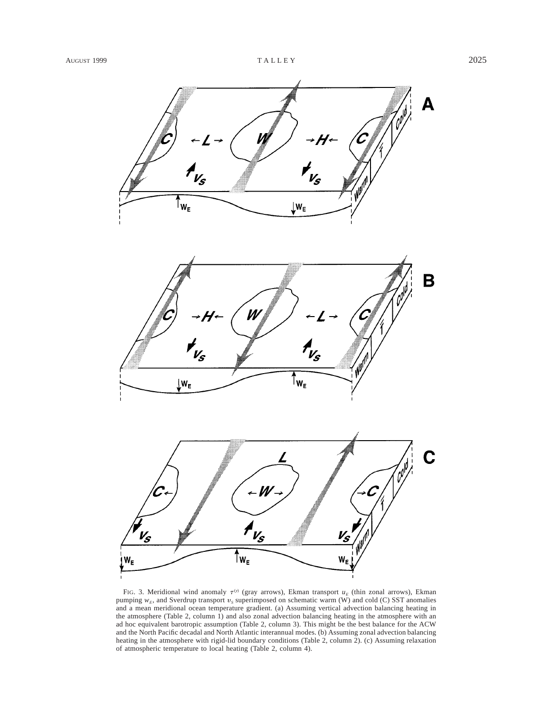

FIG. 3. Meridional wind anomaly  $\tau^{(y)}$  (gray arrows), Ekman transport  $u_E$  (thin zonal arrows), Ekman pumping  $w_E$ , and Sverdrup transport  $v_S$  superimposed on schematic warm (W) and cold (C) SST anomalies and a mean meridional ocean temperature gradient. (a) Assuming vertical advection balancing heating in the atmosphere (Table 2, column 1) and also zonal advection balancing heating in the atmosphere with an ad hoc equivalent barotropic assumption (Table 2, column 3). This might be the best balance for the ACW and the North Pacific decadal and North Atlantic interannual modes. (b) Assuming zonal advection balancing heating in the atmosphere with rigid-lid boundary conditions (Table 2, column 2). (c) Assuming relaxation of atmospheric temperature to local heating (Table 2, column 4).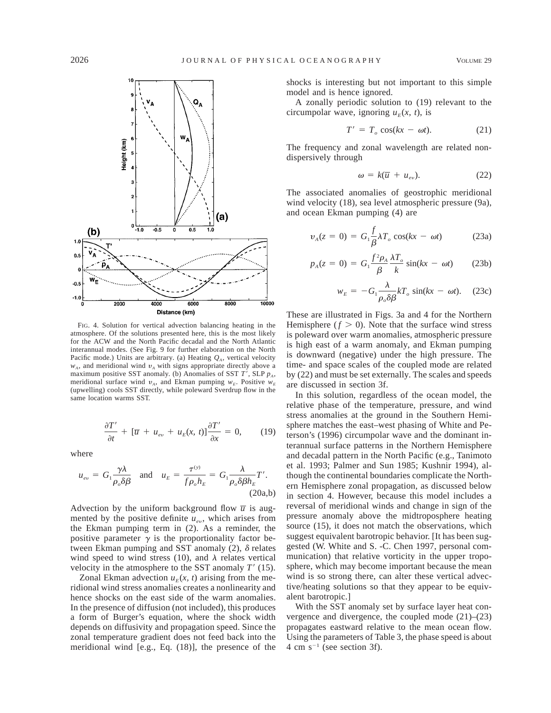

FIG. 4. Solution for vertical advection balancing heating in the atmosphere. Of the solutions presented here, this is the most likely for the ACW and the North Pacific decadal and the North Atlantic interannual modes. (See Fig. 9 for further elaboration on the North Pacific mode.) Units are arbitrary. (a) Heating  $Q<sub>A</sub>$ , vertical velocity  $w_A$ , and meridional wind  $v_A$  with signs appropriate directly above a maximum positive SST anomaly. (b) Anomalies of SST  $T'$ , SLP  $p_A$ , meridional surface wind  $v_A$ , and Ekman pumping  $w_E$ . Positive  $w_E$ (upwelling) cools SST directly, while poleward Sverdrup flow in the same location warms SST.

$$
\frac{\partial T'}{\partial t} + [\overline{u} + u_{ev} + u_E(x, t)] \frac{\partial T'}{\partial x} = 0, \qquad (19)
$$

where

$$
u_{ev} = G_1 \frac{\gamma \lambda}{\rho_o \delta \beta} \quad \text{and} \quad u_E = \frac{\tau^{(y)}}{f \rho_o h_E} = G_1 \frac{\lambda}{\rho_o \delta \beta h_E} T'.
$$
\n(20a,b)

Advection by the uniform background flow  $\overline{u}$  is augmented by the positive definite  $u_{ev}$ , which arises from the Ekman pumping term in (2). As a reminder, the positive parameter  $\gamma$  is the proportionality factor between Ekman pumping and SST anomaly  $(2)$ ,  $\delta$  relates wind speed to wind stress (10), and  $\lambda$  relates vertical velocity in the atmosphere to the SST anomaly  $T'(15)$ .

Zonal Ekman advection  $u_E(x, t)$  arising from the meridional wind stress anomalies creates a nonlinearity and hence shocks on the east side of the warm anomalies. In the presence of diffusion (not included), this produces a form of Burger's equation, where the shock width depends on diffusivity and propagation speed. Since the zonal temperature gradient does not feed back into the meridional wind [e.g., Eq. (18)], the presence of the shocks is interesting but not important to this simple model and is hence ignored.

A zonally periodic solution to (19) relevant to the circumpolar wave, ignoring  $u_F(x, t)$ , is

$$
T' = T_o \cos(kx - \omega t). \tag{21}
$$

The frequency and zonal wavelength are related nondispersively through

$$
\omega = k(\overline{u} + u_{ev}). \tag{22}
$$

The associated anomalies of geostrophic meridional wind velocity (18), sea level atmospheric pressure (9a), and ocean Ekman pumping (4) are

$$
v_A(z=0) = G_1 \frac{f}{\beta} \lambda T_o \cos(kx - \omega t)
$$
 (23a)

$$
p_A(z=0) = G_1 \frac{f^2 \rho_A}{\beta} \frac{\lambda T_o}{k} \sin(kx - \omega t) \qquad (23b)
$$

$$
w_E = -G_1 \frac{\lambda}{\rho_o \delta \beta} kT_o \sin(kx - \omega t). \quad (23c)
$$

These are illustrated in Figs. 3a and 4 for the Northern Hemisphere  $(f > 0)$ . Note that the surface wind stress is poleward over warm anomalies, atmospheric pressure is high east of a warm anomaly, and Ekman pumping is downward (negative) under the high pressure. The time- and space scales of the coupled mode are related by (22) and must be set externally. The scales and speeds are discussed in section 3f.

In this solution, regardless of the ocean model, the relative phase of the temperature, pressure, and wind stress anomalies at the ground in the Southern Hemisphere matches the east–west phasing of White and Peterson's (1996) circumpolar wave and the dominant interannual surface patterns in the Northern Hemisphere and decadal pattern in the North Pacific (e.g., Tanimoto et al. 1993; Palmer and Sun 1985; Kushnir 1994), although the continental boundaries complicate the Northern Hemisphere zonal propagation, as discussed below in section 4. However, because this model includes a reversal of meridional winds and change in sign of the pressure anomaly above the midtroposphere heating source (15), it does not match the observations, which suggest equivalent barotropic behavior. [It has been suggested (W. White and S. -C. Chen 1997, personal communication) that relative vorticity in the upper troposphere, which may become important because the mean wind is so strong there, can alter these vertical advective/heating solutions so that they appear to be equivalent barotropic.]

With the SST anomaly set by surface layer heat convergence and divergence, the coupled mode (21)–(23) propagates eastward relative to the mean ocean flow. Using the parameters of Table 3, the phase speed is about 4 cm  $s^{-1}$  (see section 3f).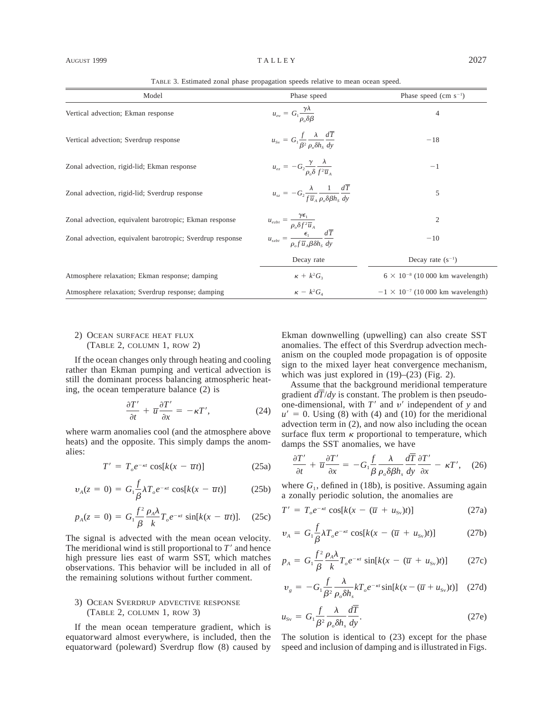| Model                                                     | Phase speed                                                                                             | Phase speed (cm $s^{-1}$ )                 |
|-----------------------------------------------------------|---------------------------------------------------------------------------------------------------------|--------------------------------------------|
| Vertical advection; Ekman response                        | $u_{ev} = G_1 \frac{\gamma \lambda}{\rho_o \delta \beta}$                                               | 4                                          |
| Vertical advection; Sverdrup response                     | $u_{\rm sv} = G_1 \frac{f}{\beta^2} \frac{\lambda}{\rho \delta h_c} \frac{d\overline{T}}{dv}$           | $-18$                                      |
| Zonal advection, rigid-lid; Ekman response                | $u_{ez} = -G_2 \frac{\gamma}{\rho_0 \delta} \frac{\lambda}{f^2 \overline{u}_A}$                         | $^{-1}$                                    |
| Zonal advection, rigid-lid; Sverdrup response             | $u_{sz} = -G_2 \frac{\lambda}{f \overline{u}_a} \frac{1}{\rho_c \delta \beta h_s} \frac{dT}{dy}$        | 5                                          |
| Zonal advection, equivalent barotropic; Ekman response    | $u_{ezbt} = \frac{\gamma \epsilon_1}{\rho_o \delta f^2 \overline{u}_A}$                                 | $\mathfrak{2}$                             |
| Zonal advection, equivalent barotropic; Sverdrup response | $u_{szbt} = \frac{\epsilon_1}{\rho_{\circ} f \overline{u}_A \beta \delta h_s} \frac{d\overline{T}}{dy}$ | $-10$                                      |
|                                                           | Decay rate                                                                                              | Decay rate $(s^{-1})$                      |
| Atmosphere relaxation; Ekman response; damping            | $\kappa + k^2 G_3$                                                                                      | $6 \times 10^{-8}$ (10 000 km wavelength)  |
| Atmosphere relaxation; Sverdrup response; damping         | $\kappa - k^2 G_4$                                                                                      | $-1 \times 10^{-7}$ (10 000 km wavelength) |

TABLE 3. Estimated zonal phase propagation speeds relative to mean ocean speed.

## 2) OCEAN SURFACE HEAT FLUX (TABLE 2, COLUMN 1, ROW 2)

If the ocean changes only through heating and cooling rather than Ekman pumping and vertical advection is still the dominant process balancing atmospheric heating, the ocean temperature balance (2) is

$$
\frac{\partial T'}{\partial t} + \overline{u} \frac{\partial T'}{\partial x} = -\kappa T', \qquad (24)
$$

where warm anomalies cool (and the atmosphere above heats) and the opposite. This simply damps the anomalies:

$$
T' = T_o e^{-\kappa t} \cos[k(x - \overline{u}t)] \tag{25a}
$$

$$
v_A(z=0) = G_1 \frac{f}{\beta} \lambda T_e e^{-\kappa t} \cos[k(x-\overline{u}t)] \tag{25b}
$$

$$
p_A(z=0) = G_1 \frac{f^2}{\beta} \frac{\rho_A \lambda}{k} T_o e^{-\kappa t} \sin[k(x-\overline{u}t)]. \quad (25c)
$$

The signal is advected with the mean ocean velocity. The meridional wind is still proportional to  $T<sup>9</sup>$  and hence high pressure lies east of warm SST, which matches observations. This behavior will be included in all of the remaining solutions without further comment.

## 3) OCEAN SVERDRUP ADVECTIVE RESPONSE (TABLE 2, COLUMN 1, ROW 3)

If the mean ocean temperature gradient, which is equatorward almost everywhere, is included, then the equatorward (poleward) Sverdrup flow (8) caused by Ekman downwelling (upwelling) can also create SST anomalies. The effect of this Sverdrup advection mechanism on the coupled mode propagation is of opposite sign to the mixed layer heat convergence mechanism, which was just explored in  $(19)$ – $(23)$  (Fig. 2).

Assume that the background meridional temperature gradient *dT*/*dy* is constant. The problem is then pseudoone-dimensional, with  $T'$  and  $v'$  independent of  $y$  and  $u' = 0$ . Using (8) with (4) and (10) for the meridional advection term in (2), and now also including the ocean surface flux term  $\kappa$  proportional to temperature, which damps the SST anomalies, we have

$$
\frac{\partial T'}{\partial t} + \overline{u} \frac{\partial T'}{\partial x} = -G_1 \frac{f}{\beta} \frac{\lambda}{\rho_o \delta \beta h_s} \frac{d\overline{T}}{dy} \frac{\partial T'}{\partial x} - \kappa T', \quad (26)
$$

where  $G_1$ , defined in (18b), is positive. Assuming again a zonally periodic solution, the anomalies are

$$
T' = T_{o}e^{-\kappa t}\cos[k(x - (\overline{u} + u_{\rm sv})t)] \tag{27a}
$$

$$
v_A = G_1 \frac{f}{\beta} \lambda T_e e^{-\kappa t} \cos[k(x - (\overline{u} + u_{\rm sv})t)] \tag{27b}
$$

$$
p_A = G_1 \frac{f^2}{\beta} \frac{\rho_A \lambda}{k} T_o e^{-\kappa t} \sin[k(x - (\overline{u} + u_{\rm sv})t)] \qquad (27c)
$$

$$
v_{g} = -G_{1} \frac{f}{\beta^{2}} \frac{\lambda}{\rho_{o} \delta h_{s}} kT_{o} e^{-\kappa t} \sin[k(x - (\overline{u} + u_{\rm sv})t)] \quad (27d)
$$

$$
u_{\rm sv} = G_1 \frac{f}{\beta^2} \frac{\lambda}{\rho_o \delta h_s} \frac{d\overline{T}}{dy}.
$$
 (27e)

The solution is identical to (23) except for the phase speed and inclusion of damping and is illustrated in Figs.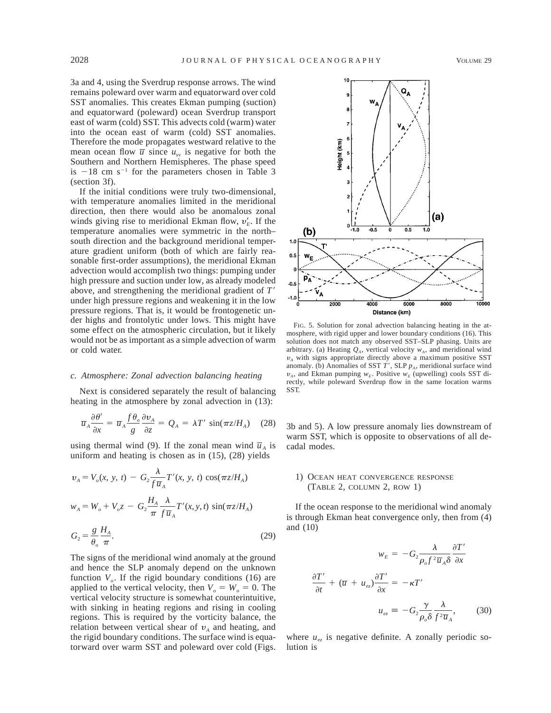3a and 4, using the Sverdrup response arrows. The wind remains poleward over warm and equatorward over cold SST anomalies. This creates Ekman pumping (suction) and equatorward (poleward) ocean Sverdrup transport east of warm (cold) SST. This advects cold (warm) water into the ocean east of warm (cold) SST anomalies. Therefore the mode propagates westward relative to the mean ocean flow  $\overline{u}$  since  $u_{sv}$  is negative for both the Southern and Northern Hemispheres. The phase speed is  $-18$  cm s<sup>-1</sup> for the parameters chosen in Table 3 (section 3f).

If the initial conditions were truly two-dimensional, with temperature anomalies limited in the meridional direction, then there would also be anomalous zonal winds giving rise to meridional Ekman flow,  $v_E'$ . If the temperature anomalies were symmetric in the north– south direction and the background meridional temperature gradient uniform (both of which are fairly reasonable first-order assumptions), the meridional Ekman advection would accomplish two things: pumping under high pressure and suction under low, as already modeled above, and strengthening the meridional gradient of  $T'$ under high pressure regions and weakening it in the low pressure regions. That is, it would be frontogenetic under highs and frontolytic under lows. This might have some effect on the atmospheric circulation, but it likely would not be as important as a simple advection of warm or cold water.

## *c. Atmosphere: Zonal advection balancing heating*

Next is considered separately the result of balancing heating in the atmosphere by zonal advection in (13):

$$
\overline{u}_A \frac{\partial \theta'}{\partial x} = \overline{u}_A \frac{f \theta_o}{g} \frac{\partial v_A}{\partial z} = Q_A = \lambda T' \sin(\pi z / H_A) \quad (28)
$$

using thermal wind (9). If the zonal mean wind  $\overline{u}_A$  is uniform and heating is chosen as in (15), (28) yields

$$
v_A = V_o(x, y, t) - G_2 \frac{\lambda}{f \overline{u}_A} T'(x, y, t) \cos(\pi z / H_A)
$$
  

$$
w_A = W_o + V_o z - G_2 \frac{H_A}{\pi} \frac{\lambda}{f \overline{u}_A} T'(x, y, t) \sin(\pi z / H_A)
$$
  

$$
G_2 = \frac{g}{\theta_o} \frac{H_A}{\pi}.
$$
 (29)

The signs of the meridional wind anomaly at the ground and hence the SLP anomaly depend on the unknown function  $V<sub>o</sub>$ . If the rigid boundary conditions (16) are applied to the vertical velocity, then  $V_o = W_o = 0$ . The vertical velocity structure is somewhat counterintuitive, with sinking in heating regions and rising in cooling regions. This is required by the vorticity balance, the relation between vertical shear of  $v_A$  and heating, and the rigid boundary conditions. The surface wind is equatorward over warm SST and poleward over cold (Figs.



FIG. 5. Solution for zonal advection balancing heating in the atmosphere, with rigid upper and lower boundary conditions (16). This solution does not match any observed SST–SLP phasing. Units are arbitrary. (a) Heating  $Q_A$ , vertical velocity  $w_A$ , and meridional wind  $v_A$  with signs appropriate directly above a maximum positive SST anomaly. (b) Anomalies of SST  $\overline{T}$ <sup>'</sup>, SLP  $p_A$ , meridional surface wind  $v_A$ , and Ekman pumping  $w_E$ . Positive  $w_E$  (upwelling) cools SST directly, while poleward Sverdrup flow in the same location warms SST.

3b and 5). A low pressure anomaly lies downstream of warm SST, which is opposite to observations of all decadal modes.

## 1) OCEAN HEAT CONVERGENCE RESPONSE (TABLE 2, COLUMN 2, ROW 1)

If the ocean response to the meridional wind anomaly is through Ekman heat convergence only, then from (4) and (10)

$$
w_E = -G_2 \frac{\lambda}{\rho_o f^2 \overline{u}_A \delta} \frac{\partial T'}{\partial x}
$$

$$
\frac{\partial T'}{\partial t} + (\overline{u} + u_{ez}) \frac{\partial T'}{\partial x} = -\kappa T'
$$

$$
u_{ez} = -G_2 \frac{\gamma}{\rho_o \delta} \frac{\lambda}{f^2 \overline{u}_A}, \qquad (30)
$$

where  $u_{ez}$  is negative definite. A zonally periodic solution is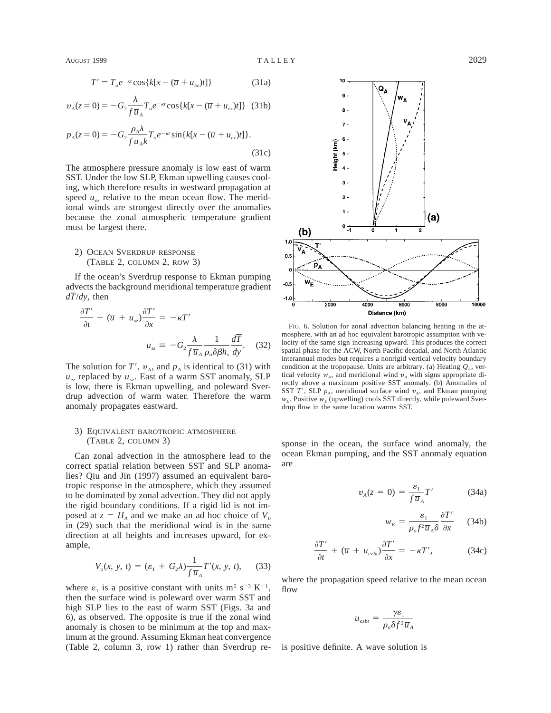$$
T' = T_e e^{-\kappa t} \cos\{k[x - (\overline{u} + u_{ez})t]\}
$$
 (31a)

$$
v_{A}(z=0) = -G_{2} \frac{\lambda}{f \overline{u}_{A}} T_{o} e^{-\kappa t} \cos\{k[x - (\overline{u} + u_{e z})t]\} (31b)
$$

$$
p_A(z=0) = -G_2 \frac{\rho_A \lambda}{f \overline{u}_A k} T_o e^{-\kappa t} \sin\{k[x - (\overline{u} + u_{ez})t]\}.
$$
\n(31c)

The atmosphere pressure anomaly is low east of warm SST. Under the low SLP, Ekman upwelling causes cooling, which therefore results in westward propagation at speed  $u_{ex}$  relative to the mean ocean flow. The meridional winds are strongest directly over the anomalies because the zonal atmospheric temperature gradient must be largest there.

# 2) OCEAN SVERDRUP RESPONSE (TABLE 2, COLUMN 2, ROW 3)

If the ocean's Sverdrup response to Ekman pumping advects the background meridional temperature gradient *dT*/*dy,* then

$$
\frac{\partial T'}{\partial t} + (\overline{u} + u_{sz}) \frac{\partial T'}{\partial x} = -\kappa T'
$$

$$
u_{sz} \equiv -G_2 \frac{\lambda}{f \overline{u}_A} \frac{1}{\rho_o \delta \beta h_s} \frac{d\overline{T}}{dy}.
$$
(32)

The solution for  $T'$ ,  $v_A$ , and  $p_A$  is identical to (31) with  $u_{ez}$  replaced by  $u_{sz}$ . East of a warm SST anomaly, SLP is low, there is Ekman upwelling, and poleward Sverdrup advection of warm water. Therefore the warm anomaly propagates eastward.

## 3) EQUIVALENT BAROTROPIC ATMOSPHERE (TABLE 2, COLUMN 3)

Can zonal advection in the atmosphere lead to the correct spatial relation between SST and SLP anomalies? Qiu and Jin (1997) assumed an equivalent barotropic response in the atmosphere, which they assumed to be dominated by zonal advection. They did not apply the rigid boundary conditions. If a rigid lid is not imposed at  $z = H_A$  and we make an ad hoc choice of  $V_0$ in (29) such that the meridional wind is in the same direction at all heights and increases upward, for example,

$$
V_o(x, y, t) = (\varepsilon_1 + G_2 \lambda) \frac{1}{f \overline{u}_A} T'(x, y, t), \quad (33)
$$

where  $\varepsilon_1$  is a positive constant with units m<sup>2</sup> s<sup>-3</sup> K<sup>-1</sup>. then the surface wind is poleward over warm SST and high SLP lies to the east of warm SST (Figs. 3a and 6), as observed. The opposite is true if the zonal wind anomaly is chosen to be minimum at the top and maximum at the ground. Assuming Ekman heat convergence (Table 2, column 3, row 1) rather than Sverdrup re-



FIG. 6. Solution for zonal advection balancing heating in the atmosphere, with an ad hoc equivalent barotropic assumption with velocity of the same sign increasing upward. This produces the correct spatial phase for the ACW, North Pacific decadal, and North Atlantic interannual modes but requires a nonrigid vertical velocity boundary condition at the tropopause. Units are arbitrary. (a) Heating  $Q_A$ , vertical velocity  $w_A$ , and meridional wind  $v_A$  with signs appropriate directly above a maximum positive SST anomaly. (b) Anomalies of SST *T'*, SLP  $p_A$ , meridional surface wind  $v_A$ , and Ekman pumping  $w_E$ . Positive  $w_E$  (upwelling) cools SST directly, while poleward Sverdrup flow in the same location warms SST.

sponse in the ocean, the surface wind anomaly, the ocean Ekman pumping, and the SST anomaly equation are

$$
v_A(z=0) = \frac{\varepsilon_1}{f \overline{u}_A} T'
$$
 (34a)

$$
w_E = \frac{\varepsilon_1}{\rho_o f^2 \overline{u}_A \delta} \frac{\partial T'}{\partial x} \qquad (34b)
$$

$$
\frac{\partial T'}{\partial t} + (\overline{u} + u_{\text{ex}}) \frac{\partial T'}{\partial x} = -\kappa T', \tag{34c}
$$

where the propagation speed relative to the mean ocean flow

$$
u_{ezbt} = \frac{\gamma \varepsilon_1}{\rho_o \delta f^2 \overline{u}_A}
$$

is positive definite. A wave solution is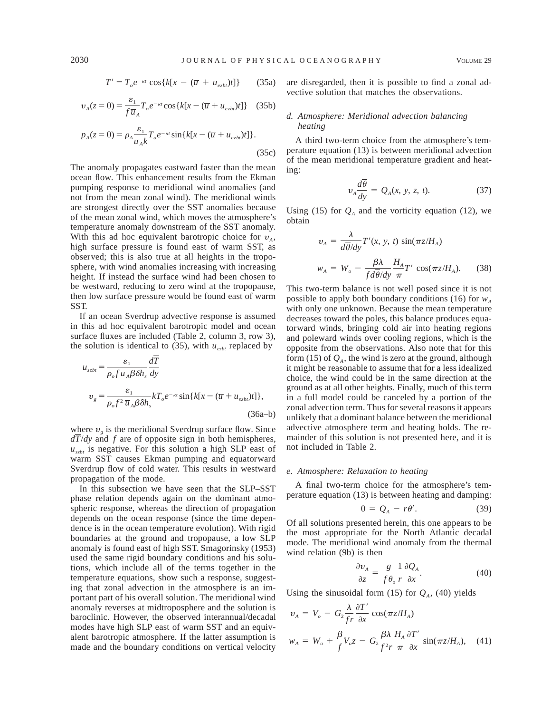$$
T' = T_o e^{-\kappa t} \cos\{k[x - (\overline{u} + u_{exbt})t]\} \qquad (35a)
$$

$$
v_A(z=0) = \frac{\varepsilon_1}{f \overline{u}_A} T_o e^{-\kappa t} \cos\{k[x - (\overline{u} + u_{\text{ex}})t]\} \quad (35b)
$$

$$
p_A(z=0) = \rho_A \frac{\varepsilon_1}{\overline{u}_A k} T_o e^{-\kappa t} \sin\{k[x - (\overline{u} + u_{\varepsilon z b t})t]\}.
$$
\n(35c)

The anomaly propagates eastward faster than the mean ocean flow. This enhancement results from the Ekman pumping response to meridional wind anomalies (and not from the mean zonal wind). The meridional winds are strongest directly over the SST anomalies because of the mean zonal wind, which moves the atmosphere's temperature anomaly downstream of the SST anomaly. With this ad hoc equivalent barotropic choice for  $v_A$ , high surface pressure is found east of warm SST, as observed; this is also true at all heights in the troposphere, with wind anomalies increasing with increasing height. If instead the surface wind had been chosen to be westward, reducing to zero wind at the tropopause, then low surface pressure would be found east of warm SST.

If an ocean Sverdrup advective response is assumed in this ad hoc equivalent barotropic model and ocean surface fluxes are included (Table 2, column 3, row 3), the solution is identical to  $(35)$ , with  $u_{exbt}$  replaced by

$$
u_{szbt} = \frac{\varepsilon_1}{\rho_o f \overline{u}_A \beta \delta h_s} \frac{dT}{dy}
$$
  

$$
v_g = \frac{\varepsilon_1}{\rho_o f^2 \overline{u}_A \beta \delta h_s} kT_o e^{-\kappa t} \sin\{k[x - (\overline{u} + u_{szbt})t]\},
$$
(36a-b)

where  $v_{\rho}$  is the meridional Sverdrup surface flow. Since *dT*/*dy* and *f* are of opposite sign in both hemispheres,  $u_{szt}$  is negative. For this solution a high SLP east of warm SST causes Ekman pumping and equatorward Sverdrup flow of cold water. This results in westward propagation of the mode.

In this subsection we have seen that the SLP–SST phase relation depends again on the dominant atmospheric response, whereas the direction of propagation depends on the ocean response (since the time dependence is in the ocean temperature evolution). With rigid boundaries at the ground and tropopause, a low SLP anomaly is found east of high SST. Smagorinsky (1953) used the same rigid boundary conditions and his solutions, which include all of the terms together in the temperature equations, show such a response, suggesting that zonal advection in the atmosphere is an important part of his overall solution. The meridional wind anomaly reverses at midtroposphere and the solution is baroclinic. However, the observed interannual/decadal modes have high SLP east of warm SST and an equivalent barotropic atmosphere. If the latter assumption is made and the boundary conditions on vertical velocity

are disregarded, then it is possible to find a zonal advective solution that matches the observations.

## *d. Atmosphere: Meridional advection balancing heating*

A third two-term choice from the atmosphere's temperature equation (13) is between meridional advection of the mean meridional temperature gradient and heating:

$$
v_A \frac{d\theta}{dy} = Q_A(x, y, z, t). \tag{37}
$$

Using (15) for  $Q_A$  and the vorticity equation (12), we obtain

$$
v_A = \frac{\lambda}{d\overline{\theta}/dy} T'(x, y, t) \sin(\pi z/H_A)
$$
  

$$
w_A = W_o - \frac{\beta \lambda}{f d\overline{\theta}/dy} \frac{H_A}{\pi} T' \cos(\pi z/H_A). \quad (38)
$$

This two-term balance is not well posed since it is not possible to apply both boundary conditions (16) for  $w_4$ with only one unknown. Because the mean temperature decreases toward the poles, this balance produces equatorward winds, bringing cold air into heating regions and poleward winds over cooling regions, which is the opposite from the observations. Also note that for this form (15) of  $Q_4$ , the wind is zero at the ground, although it might be reasonable to assume that for a less idealized choice, the wind could be in the same direction at the ground as at all other heights. Finally, much of this term in a full model could be canceled by a portion of the zonal advection term. Thus for several reasons it appears unlikely that a dominant balance between the meridional advective atmosphere term and heating holds. The remainder of this solution is not presented here, and it is not included in Table 2.

### *e. Atmosphere: Relaxation to heating*

A final two-term choice for the atmosphere's temperature equation (13) is between heating and damping:

$$
0 = Q_A - r\theta'. \tag{39}
$$

Of all solutions presented herein, this one appears to be the most appropriate for the North Atlantic decadal mode. The meridional wind anomaly from the thermal wind relation (9b) is then

$$
\frac{\partial v_A}{\partial z} = \frac{g}{f \theta_o} \frac{1}{r} \frac{\partial Q_A}{\partial x}.
$$
 (40)

Using the sinusoidal form  $(15)$  for  $Q<sub>A</sub>$ ,  $(40)$  yields

$$
v_A = V_o - G_2 \frac{\lambda}{fr} \frac{\partial T'}{\partial x} \cos(\pi z / H_A)
$$
  

$$
w_A = W_o + \frac{\beta}{f} V_o z - G_2 \frac{\beta \lambda}{f^2 r} \frac{H_A}{\pi} \frac{\partial T'}{\partial x} \sin(\pi z / H_A), \quad (41)
$$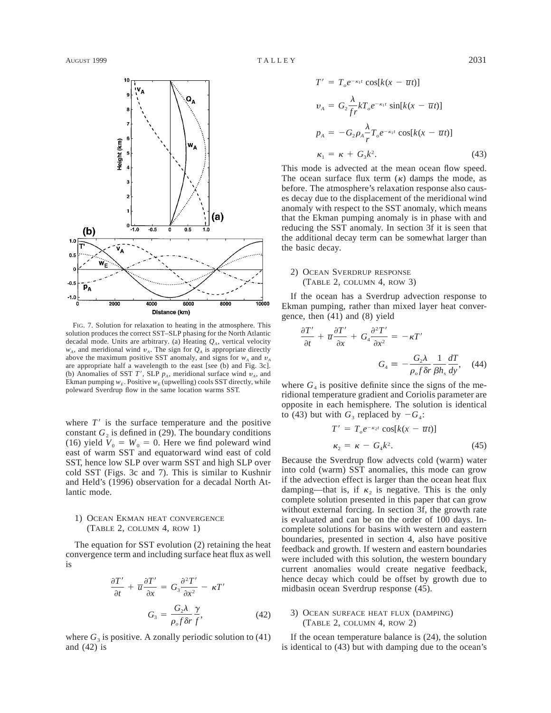

FIG. 7. Solution for relaxation to heating in the atmosphere. This solution produces the correct SST–SLP phasing for the North Atlantic decadal mode. Units are arbitrary. (a) Heating  $Q<sub>A</sub>$ , vertical velocity  $w_A$ , and meridional wind  $v_A$ . The sign for  $Q_A$  is appropriate directly above the maximum positive SST anomaly, and signs for  $w_A$  and  $v_A$ are appropriate half a wavelength to the east [see (b) and Fig. 3c]. (b) Anomalies of SST *T'*, SLP  $p_A$ , meridional surface wind  $v_A$ , and Ekman pumping  $w_E$ . Positive  $w_E$  (upwelling) cools SST directly, while poleward Sverdrup flow in the same location warms SST.

Distance (km)

where  $T'$  is the surface temperature and the positive constant  $G_2$  is defined in (29). The boundary conditions (16) yield  $V_0 = W_0 = 0$ . Here we find poleward wind east of warm SST and equatorward wind east of cold SST, hence low SLP over warm SST and high SLP over cold SST (Figs. 3c and 7). This is similar to Kushnir and Held's (1996) observation for a decadal North Atlantic mode.

# 1) OCEAN EKMAN HEAT CONVERGENCE (TABLE 2, COLUMN 4, ROW 1)

The equation for SST evolution (2) retaining the heat convergence term and including surface heat flux as well is

$$
\frac{\partial T'}{\partial t} + \overline{u} \frac{\partial T'}{\partial x} = G_3 \frac{\partial^2 T'}{\partial x^2} - \kappa T'
$$

$$
G_3 = \frac{G_2 \lambda}{\rho_o f \delta r} \frac{\gamma}{f}, \tag{42}
$$

where  $G_3$  is positive. A zonally periodic solution to (41) and (42) is

$$
T' = T_o e^{-\kappa_1 t} \cos[k(x - \overline{u}t)]
$$
  
\n
$$
v_A = G_2 \frac{\lambda}{fr} k T_o e^{-\kappa_1 t} \sin[k(x - \overline{u}t)]
$$
  
\n
$$
p_A = -G_2 \rho_A \frac{\lambda}{r} T_o e^{-\kappa_1 t} \cos[k(x - \overline{u}t)]
$$
  
\n
$$
\kappa_1 = \kappa + G_3 k^2.
$$
\n(43)

This mode is advected at the mean ocean flow speed. The ocean surface flux term  $(\kappa)$  damps the mode, as before. The atmosphere's relaxation response also causes decay due to the displacement of the meridional wind anomaly with respect to the SST anomaly, which means that the Ekman pumping anomaly is in phase with and reducing the SST anomaly. In section 3f it is seen that the additional decay term can be somewhat larger than the basic decay.

# 2) OCEAN SVERDRUP RESPONSE (TABLE 2, COLUMN 4, ROW 3)

If the ocean has a Sverdrup advection response to Ekman pumping, rather than mixed layer heat convergence, then (41) and (8) yield

$$
\frac{\partial T'}{\partial t} + \overline{u} \frac{\partial T'}{\partial x} + G_4 \frac{\partial^2 T'}{\partial x^2} = -\kappa T'
$$

$$
G_4 \equiv -\frac{G_2 \lambda}{\rho_o f \delta r} \frac{1}{\beta h_s} \frac{dT}{dy}, \quad (44)
$$

where  $G_4$  is positive definite since the signs of the meridional temperature gradient and Coriolis parameter are opposite in each hemisphere. The solution is identical to (43) but with  $G_3$  replaced by  $-G_4$ :

$$
T' = T_o e^{-\kappa_2 t} \cos[k(x - \overline{u}t)]
$$
  
\n
$$
\kappa_2 = \kappa - G_4 k^2.
$$
 (45)

Because the Sverdrup flow advects cold (warm) water into cold (warm) SST anomalies, this mode can grow if the advection effect is larger than the ocean heat flux damping—that is, if  $\kappa_2$  is negative. This is the only complete solution presented in this paper that can grow without external forcing. In section 3f, the growth rate is evaluated and can be on the order of 100 days. Incomplete solutions for basins with western and eastern boundaries, presented in section 4, also have positive feedback and growth. If western and eastern boundaries were included with this solution, the western boundary current anomalies would create negative feedback, hence decay which could be offset by growth due to midbasin ocean Sverdrup response (45).

## 3) OCEAN SURFACE HEAT FLUX (DAMPING) (TABLE 2, COLUMN 4, ROW 2)

If the ocean temperature balance is (24), the solution is identical to (43) but with damping due to the ocean's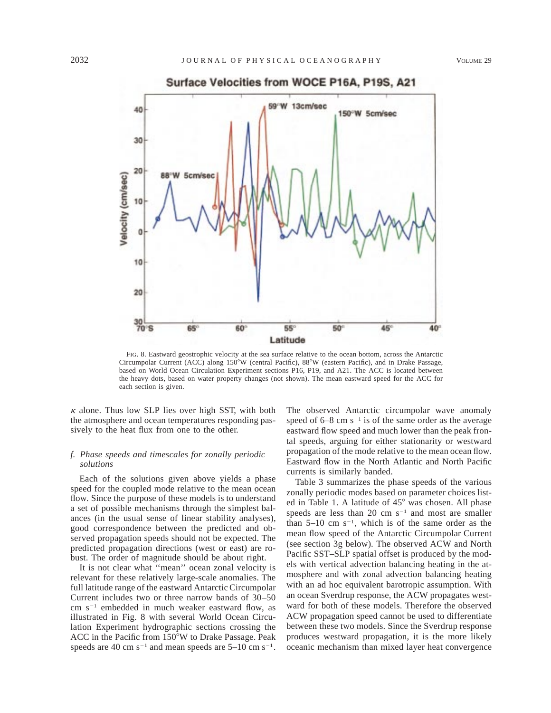

FIG. 8. Eastward geostrophic velocity at the sea surface relative to the ocean bottom, across the Antarctic Circumpolar Current (ACC) along 150°W (central Pacific), 88°W (eastern Pacific), and in Drake Passage, based on World Ocean Circulation Experiment sections P16, P19, and A21. The ACC is located between the heavy dots, based on water property changes (not shown). The mean eastward speed for the ACC for each section is given.

 $\kappa$  alone. Thus low SLP lies over high SST, with both the atmosphere and ocean temperatures responding passively to the heat flux from one to the other.

# *f. Phase speeds and timescales for zonally periodic solutions*

Each of the solutions given above yields a phase speed for the coupled mode relative to the mean ocean flow. Since the purpose of these models is to understand a set of possible mechanisms through the simplest balances (in the usual sense of linear stability analyses), good correspondence between the predicted and observed propagation speeds should not be expected. The predicted propagation directions (west or east) are robust. The order of magnitude should be about right.

It is not clear what ''mean'' ocean zonal velocity is relevant for these relatively large-scale anomalies. The full latitude range of the eastward Antarctic Circumpolar Current includes two or three narrow bands of 30–50 cm  $s^{-1}$  embedded in much weaker eastward flow, as illustrated in Fig. 8 with several World Ocean Circulation Experiment hydrographic sections crossing the ACC in the Pacific from 150°W to Drake Passage. Peak speeds are 40 cm  $s^{-1}$  and mean speeds are 5–10 cm  $s^{-1}$ . The observed Antarctic circumpolar wave anomaly speed of  $6-8$  cm s<sup>-1</sup> is of the same order as the average eastward flow speed and much lower than the peak frontal speeds, arguing for either stationarity or westward propagation of the mode relative to the mean ocean flow. Eastward flow in the North Atlantic and North Pacific currents is similarly banded.

Table 3 summarizes the phase speeds of the various zonally periodic modes based on parameter choices listed in Table 1. A latitude of  $45^{\circ}$  was chosen. All phase speeds are less than 20 cm  $s^{-1}$  and most are smaller than  $5-10$  cm  $s^{-1}$ , which is of the same order as the mean flow speed of the Antarctic Circumpolar Current (see section 3g below). The observed ACW and North Pacific SST–SLP spatial offset is produced by the models with vertical advection balancing heating in the atmosphere and with zonal advection balancing heating with an ad hoc equivalent barotropic assumption. With an ocean Sverdrup response, the ACW propagates westward for both of these models. Therefore the observed ACW propagation speed cannot be used to differentiate between these two models. Since the Sverdrup response produces westward propagation, it is the more likely oceanic mechanism than mixed layer heat convergence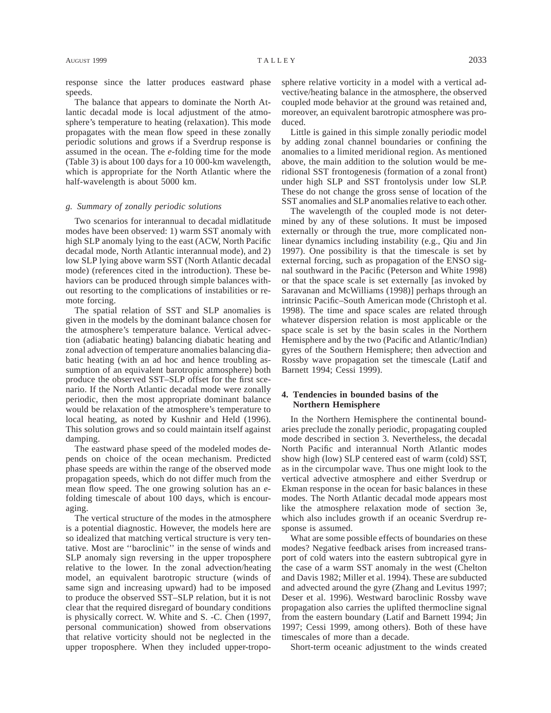response since the latter produces eastward phase speeds.

The balance that appears to dominate the North Atlantic decadal mode is local adjustment of the atmosphere's temperature to heating (relaxation). This mode propagates with the mean flow speed in these zonally periodic solutions and grows if a Sverdrup response is assumed in the ocean. The *e*-folding time for the mode (Table 3) is about 100 days for a 10 000-km wavelength, which is appropriate for the North Atlantic where the half-wavelength is about 5000 km.

### *g. Summary of zonally periodic solutions*

Two scenarios for interannual to decadal midlatitude modes have been observed: 1) warm SST anomaly with high SLP anomaly lying to the east (ACW, North Pacific decadal mode, North Atlantic interannual mode), and 2) low SLP lying above warm SST (North Atlantic decadal mode) (references cited in the introduction). These behaviors can be produced through simple balances without resorting to the complications of instabilities or remote forcing.

The spatial relation of SST and SLP anomalies is given in the models by the dominant balance chosen for the atmosphere's temperature balance. Vertical advection (adiabatic heating) balancing diabatic heating and zonal advection of temperature anomalies balancing diabatic heating (with an ad hoc and hence troubling assumption of an equivalent barotropic atmosphere) both produce the observed SST–SLP offset for the first scenario. If the North Atlantic decadal mode were zonally periodic, then the most appropriate dominant balance would be relaxation of the atmosphere's temperature to local heating, as noted by Kushnir and Held (1996). This solution grows and so could maintain itself against damping.

The eastward phase speed of the modeled modes depends on choice of the ocean mechanism. Predicted phase speeds are within the range of the observed mode propagation speeds, which do not differ much from the mean flow speed. The one growing solution has an *e*folding timescale of about 100 days, which is encouraging.

The vertical structure of the modes in the atmosphere is a potential diagnostic. However, the models here are so idealized that matching vertical structure is very tentative. Most are ''baroclinic'' in the sense of winds and SLP anomaly sign reversing in the upper troposphere relative to the lower. In the zonal advection/heating model, an equivalent barotropic structure (winds of same sign and increasing upward) had to be imposed to produce the observed SST–SLP relation, but it is not clear that the required disregard of boundary conditions is physically correct. W. White and S. -C. Chen (1997, personal communication) showed from observations that relative vorticity should not be neglected in the upper troposphere. When they included upper-troposphere relative vorticity in a model with a vertical advective/heating balance in the atmosphere, the observed coupled mode behavior at the ground was retained and, moreover, an equivalent barotropic atmosphere was produced.

Little is gained in this simple zonally periodic model by adding zonal channel boundaries or confining the anomalies to a limited meridional region. As mentioned above, the main addition to the solution would be meridional SST frontogenesis (formation of a zonal front) under high SLP and SST frontolysis under low SLP. These do not change the gross sense of location of the SST anomalies and SLP anomalies relative to each other.

The wavelength of the coupled mode is not determined by any of these solutions. It must be imposed externally or through the true, more complicated nonlinear dynamics including instability (e.g., Qiu and Jin 1997). One possibility is that the timescale is set by external forcing, such as propagation of the ENSO signal southward in the Pacific (Peterson and White 1998) or that the space scale is set externally [as invoked by Saravanan and McWilliams (1998)] perhaps through an intrinsic Pacific–South American mode (Christoph et al. 1998). The time and space scales are related through whatever dispersion relation is most applicable or the space scale is set by the basin scales in the Northern Hemisphere and by the two (Pacific and Atlantic/Indian) gyres of the Southern Hemisphere; then advection and Rossby wave propagation set the timescale (Latif and Barnett 1994; Cessi 1999).

## **4. Tendencies in bounded basins of the Northern Hemisphere**

In the Northern Hemisphere the continental boundaries preclude the zonally periodic, propagating coupled mode described in section 3. Nevertheless, the decadal North Pacific and interannual North Atlantic modes show high (low) SLP centered east of warm (cold) SST, as in the circumpolar wave. Thus one might look to the vertical advective atmosphere and either Sverdrup or Ekman response in the ocean for basic balances in these modes. The North Atlantic decadal mode appears most like the atmosphere relaxation mode of section 3e, which also includes growth if an oceanic Sverdrup response is assumed.

What are some possible effects of boundaries on these modes? Negative feedback arises from increased transport of cold waters into the eastern subtropical gyre in the case of a warm SST anomaly in the west (Chelton and Davis 1982; Miller et al. 1994). These are subducted and advected around the gyre (Zhang and Levitus 1997; Deser et al. 1996). Westward baroclinic Rossby wave propagation also carries the uplifted thermocline signal from the eastern boundary (Latif and Barnett 1994; Jin 1997; Cessi 1999, among others). Both of these have timescales of more than a decade.

Short-term oceanic adjustment to the winds created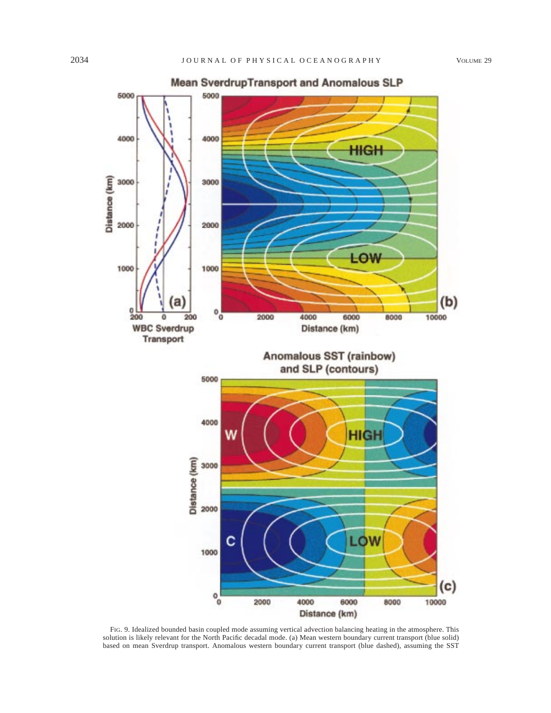

FIG. 9. Idealized bounded basin coupled mode assuming vertical advection balancing heating in the atmosphere. This solution is likely relevant for the North Pacific decadal mode. (a) Mean western boundary current transport (blue solid) based on mean Sverdrup transport. Anomalous western boundary current transport (blue dashed), assuming the SST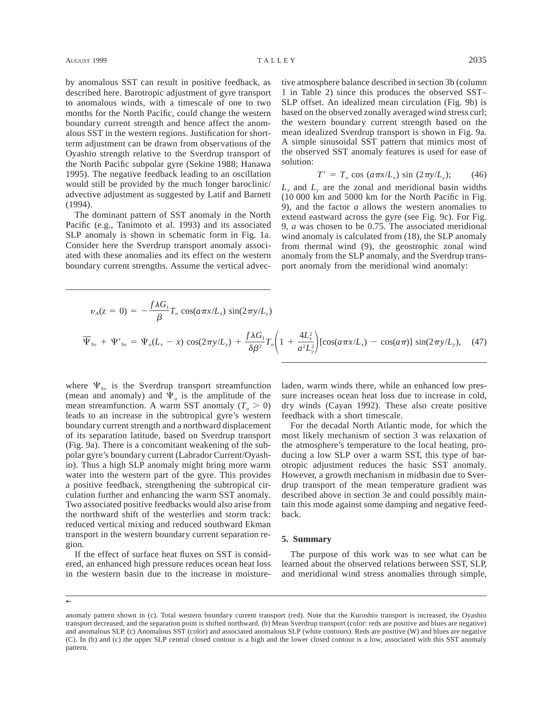by anomalous SST can result in positive feedback, as described here. Barotropic adjustment of gyre transport to anomalous winds, with a timescale of one to two months for the North Pacific, could change the western boundary current strength and hence affect the anomalous SST in the western regions. Justification for shortterm adjustment can be drawn from observations of the Oyashio strength relative to the Sverdrup transport of the North Pacific subpolar gyre (Sekine 1988; Hanawa 1995). The negative feedback leading to an oscillation would still be provided by the much longer baroclinic/ advective adjustment as suggested by Latif and Barnett (1994).

The dominant pattern of SST anomaly in the North Pacific (e.g., Tanimoto et al. 1993) and its associated SLP anomaly is shown in schematic form in Fig. 1a. Consider here the Sverdrup transport anomaly associated with these anomalies and its effect on the western boundary current strengths. Assume the vertical advective atmosphere balance described in section 3b (column 1 in Table 2) since this produces the observed SST– SLP offset. An idealized mean circulation (Fig. 9b) is based on the observed zonally averaged wind stress curl; the western boundary current strength based on the mean idealized Sverdrup transport is shown in Fig. 9a. A simple sinusoidal SST pattern that mimics most of the observed SST anomaly features is used for ease of solution:

$$
T' = T_o \cos \left( a \pi x / L_x \right) \sin \left( 2 \pi y / L_y \right); \qquad (46)
$$

 $L<sub>x</sub>$  and  $L<sub>y</sub>$  are the zonal and meridional basin widths (10 000 km and 5000 km for the North Pacific in Fig. 9), and the factor *a* allows the western anomalies to extend eastward across the gyre (see Fig. 9c). For Fig. 9, *a* was chosen to be 0.75. The associated meridional wind anomaly is calculated from (18), the SLP anomaly from thermal wind (9), the geostrophic zonal wind anomaly from the SLP anomaly, and the Sverdrup transport anomaly from the meridional wind anomaly:

$$
v_A(z=0) = -\frac{f\lambda G_1}{\beta}T_o \cos(a\pi x/L_x) \sin(2\pi y/L_y)
$$
  

$$
\overline{\Psi}_{sv} + \Psi'_{sv} = \Psi_o(L_x - x) \cos(2\pi y/L_y) + \frac{f\lambda G_1}{\delta\beta^2}T_o\left(1 + \frac{4L_x^2}{a^2L_y^2}\right) [\cos(a\pi x/L_x) - \cos(a\pi)] \sin(2\pi y/L_y), \quad (47)
$$

where  $\Psi_{sv}$  is the Sverdrup transport streamfunction (mean and anomaly) and  $\Psi$ <sub>o</sub> is the amplitude of the mean streamfunction. A warm SST anomaly  $(T_0 > 0)$ leads to an increase in the subtropical gyre's western boundary current strength and a northward displacement of its separation latitude, based on Sverdrup transport (Fig. 9a). There is a concomitant weakening of the subpolar gyre's boundary current (Labrador Current/Oyashio). Thus a high SLP anomaly might bring more warm water into the western part of the gyre. This provides a positive feedback, strengthening the subtropical circulation further and enhancing the warm SST anomaly. Two associated positive feedbacks would also arise from the northward shift of the westerlies and storm track: reduced vertical mixing and reduced southward Ekman transport in the western boundary current separation region.

If the effect of surface heat fluxes on SST is considered, an enhanced high pressure reduces ocean heat loss in the western basin due to the increase in moistureladen, warm winds there, while an enhanced low pressure increases ocean heat loss due to increase in cold, dry winds (Cayan 1992). These also create positive feedback with a short timescale.

For the decadal North Atlantic mode, for which the most likely mechanism of section 3 was relaxation of the atmosphere's temperature to the local heating, producing a low SLP over a warm SST, this type of barotropic adjustment reduces the basic SST anomaly. However, a growth mechanism in midbasin due to Sverdrup transport of the mean temperature gradient was described above in section 3e and could possibly maintain this mode against some damping and negative feedback.

#### **5. Summary**

The purpose of this work was to see what can be learned about the observed relations between SST, SLP, and meridional wind stress anomalies through simple,

←

anomaly pattern shown in (c). Total western boundary current transport (red). Note that the Kuroshio transport is increased, the Oyashio transport decreased, and the separation point is shifted northward. (b) Mean Sverdrup transport (color: reds are positive and blues are negative) and anomalous SLP. (c) Anomalous SST (color) and associated anomalous SLP (white contours). Reds are positive (W) and blues are negative (C). In (b) and (c) the upper SLP central closed contour is a high and the lower closed contour is a low, associated with this SST anomaly pattern.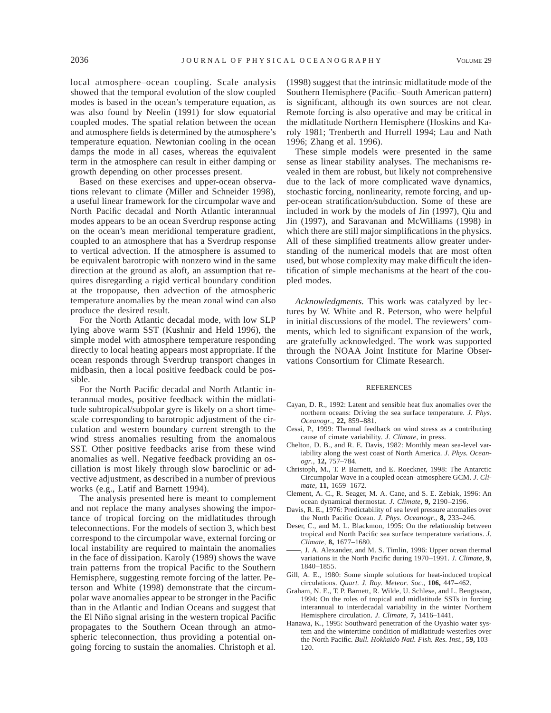local atmosphere–ocean coupling. Scale analysis showed that the temporal evolution of the slow coupled modes is based in the ocean's temperature equation, as was also found by Neelin (1991) for slow equatorial coupled modes. The spatial relation between the ocean and atmosphere fields is determined by the atmosphere's temperature equation. Newtonian cooling in the ocean damps the mode in all cases, whereas the equivalent term in the atmosphere can result in either damping or growth depending on other processes present.

Based on these exercises and upper-ocean observations relevant to climate (Miller and Schneider 1998), a useful linear framework for the circumpolar wave and North Pacific decadal and North Atlantic interannual modes appears to be an ocean Sverdrup response acting on the ocean's mean meridional temperature gradient, coupled to an atmosphere that has a Sverdrup response to vertical advection. If the atmosphere is assumed to be equivalent barotropic with nonzero wind in the same direction at the ground as aloft, an assumption that requires disregarding a rigid vertical boundary condition at the tropopause, then advection of the atmospheric temperature anomalies by the mean zonal wind can also produce the desired result.

For the North Atlantic decadal mode, with low SLP lying above warm SST (Kushnir and Held 1996), the simple model with atmosphere temperature responding directly to local heating appears most appropriate. If the ocean responds through Sverdrup transport changes in midbasin, then a local positive feedback could be possible.

For the North Pacific decadal and North Atlantic interannual modes, positive feedback within the midlatitude subtropical/subpolar gyre is likely on a short timescale corresponding to barotropic adjustment of the circulation and western boundary current strength to the wind stress anomalies resulting from the anomalous SST. Other positive feedbacks arise from these wind anomalies as well. Negative feedback providing an oscillation is most likely through slow baroclinic or advective adjustment, as described in a number of previous works (e.g., Latif and Barnett 1994).

The analysis presented here is meant to complement and not replace the many analyses showing the importance of tropical forcing on the midlatitudes through teleconnections. For the models of section 3, which best correspond to the circumpolar wave, external forcing or local instability are required to maintain the anomalies in the face of dissipation. Karoly (1989) shows the wave train patterns from the tropical Pacific to the Southern Hemisphere, suggesting remote forcing of the latter. Peterson and White (1998) demonstrate that the circumpolar wave anomalies appear to be stronger in the Pacific than in the Atlantic and Indian Oceans and suggest that the El Niño signal arising in the western tropical Pacific propagates to the Southern Ocean through an atmospheric teleconnection, thus providing a potential ongoing forcing to sustain the anomalies. Christoph et al.

(1998) suggest that the intrinsic midlatitude mode of the Southern Hemisphere (Pacific–South American pattern) is significant, although its own sources are not clear. Remote forcing is also operative and may be critical in the midlatitude Northern Hemisphere (Hoskins and Karoly 1981; Trenberth and Hurrell 1994; Lau and Nath 1996; Zhang et al. 1996).

These simple models were presented in the same sense as linear stability analyses. The mechanisms revealed in them are robust, but likely not comprehensive due to the lack of more complicated wave dynamics, stochastic forcing, nonlinearity, remote forcing, and upper-ocean stratification/subduction. Some of these are included in work by the models of Jin (1997), Qiu and Jin (1997), and Saravanan and McWilliams (1998) in which there are still major simplifications in the physics. All of these simplified treatments allow greater understanding of the numerical models that are most often used, but whose complexity may make difficult the identification of simple mechanisms at the heart of the coupled modes.

*Acknowledgments.* This work was catalyzed by lectures by W. White and R. Peterson, who were helpful in initial discussions of the model. The reviewers' comments, which led to significant expansion of the work, are gratefully acknowledged. The work was supported through the NOAA Joint Institute for Marine Observations Consortium for Climate Research.

#### REFERENCES

- Cayan, D. R., 1992: Latent and sensible heat flux anomalies over the northern oceans: Driving the sea surface temperature. *J. Phys. Oceanogr.,* **22,** 859–881.
- Cessi, P., 1999: Thermal feedback on wind stress as a contributing cause of cimate variability. *J. Climate,* in press.
- Chelton, D. B., and R. E. Davis, 1982: Monthly mean sea-level variability along the west coast of North America. *J. Phys. Oceanogr.,* **12,** 757–784.
- Christoph, M., T. P. Barnett, and E. Roeckner, 1998: The Antarctic Circumpolar Wave in a coupled ocean–atmosphere GCM. *J. Climate,* **11,** 1659–1672.
- Clement, A. C., R. Seager, M. A. Cane, and S. E. Zebiak, 1996: An ocean dynamical thermostat. *J. Climate,* **9,** 2190–2196.
- Davis, R. E., 1976: Predictability of sea level pressure anomalies over the North Pacific Ocean. *J. Phys. Oceanogr.,* **8,** 233–246.
- Deser, C., and M. L. Blackmon, 1995: On the relationship between tropical and North Pacific sea surface temperature variations. *J. Climate,* **8,** 1677–1680.
- , J. A. Alexander, and M. S. Timlin, 1996: Upper ocean thermal variations in the North Pacific during 1970–1991. *J. Climate,* **9,** 1840–1855.
- Gill, A. E., 1980: Some simple solutions for heat-induced tropical circulations. *Quart. J. Roy. Meteor. Soc.,* **106,** 447–462.
- Graham, N. E., T. P. Barnett, R. Wilde, U. Schlese, and L. Bengtsson, 1994: On the roles of tropical and midlatitude SSTs in forcing interannual to interdecadal variability in the winter Northern Hemisphere circulation. *J. Climate,* **7,** 1416–1441.
- Hanawa, K., 1995: Southward penetration of the Oyashio water system and the wintertime condition of midlatitude westerlies over the North Pacific. *Bull. Hokkaido Natl. Fish. Res. Inst.,* **59,** 103– 120.